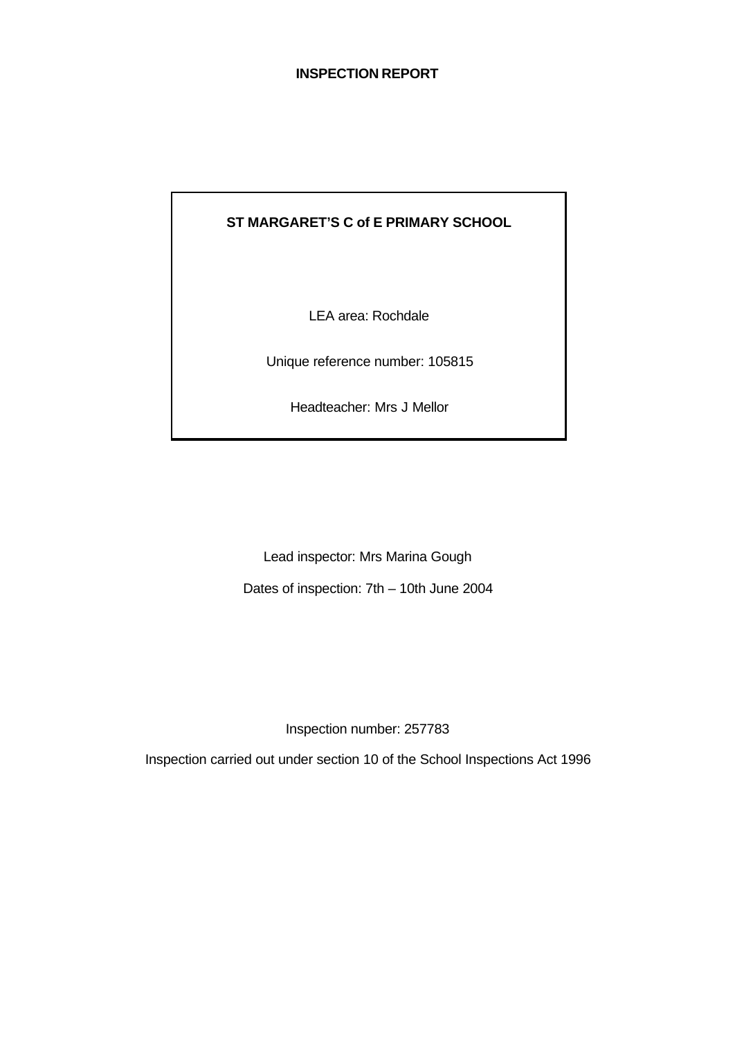# **INSPECTION REPORT**

# **ST MARGARET'S C of E PRIMARY SCHOOL**

LEA area: Rochdale

Unique reference number: 105815

Headteacher: Mrs J Mellor

Lead inspector: Mrs Marina Gough

Dates of inspection: 7th – 10th June 2004

Inspection number: 257783

Inspection carried out under section 10 of the School Inspections Act 1996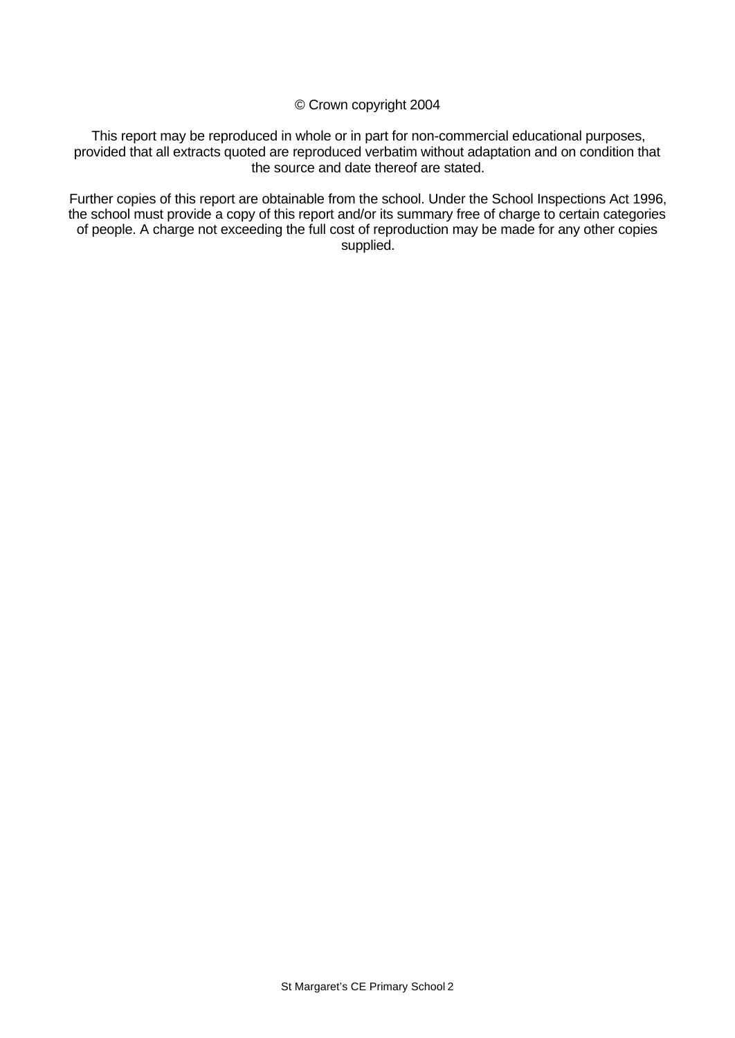© Crown copyright 2004

This report may be reproduced in whole or in part for non-commercial educational purposes, provided that all extracts quoted are reproduced verbatim without adaptation and on condition that the source and date thereof are stated.

Further copies of this report are obtainable from the school. Under the School Inspections Act 1996, the school must provide a copy of this report and/or its summary free of charge to certain categories of people. A charge not exceeding the full cost of reproduction may be made for any other copies supplied.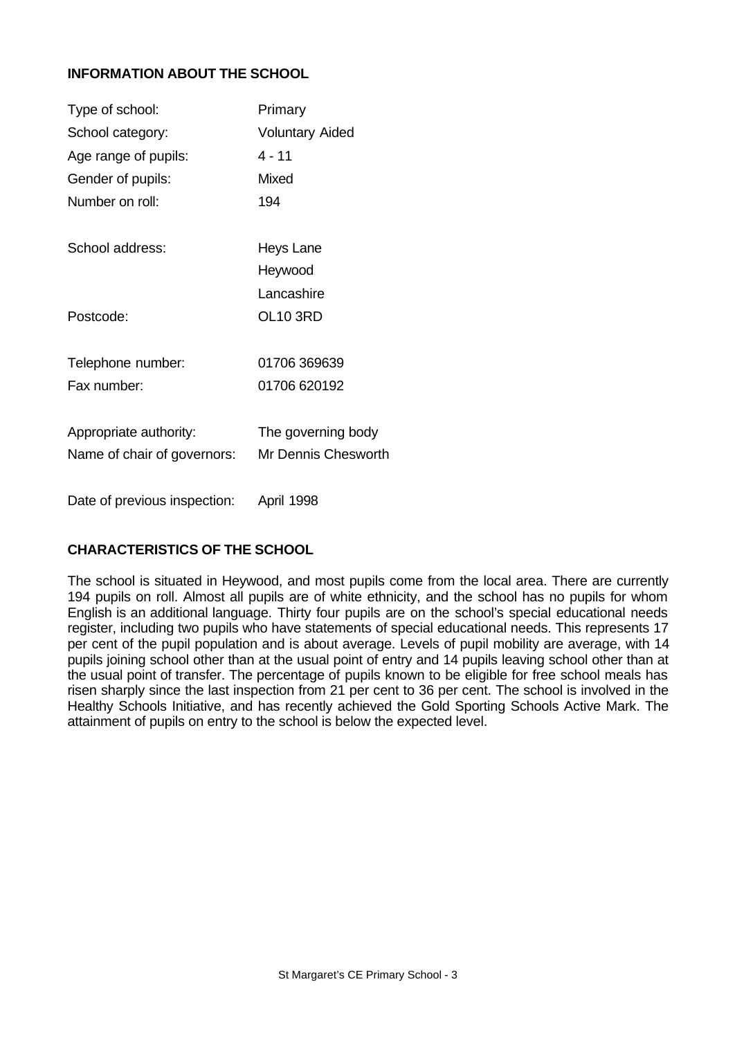# **INFORMATION ABOUT THE SCHOOL**

| Type of school:              | Primary                    |
|------------------------------|----------------------------|
| School category:             | <b>Voluntary Aided</b>     |
| Age range of pupils:         | 4 - 11                     |
| Gender of pupils:            | Mixed                      |
| Number on roll:              | 194                        |
| School address:              | Heys Lane                  |
|                              | Heywood                    |
|                              | Lancashire                 |
| Postcode:                    | <b>OL10 3RD</b>            |
| Telephone number:            | 01706 369639               |
| Fax number:                  | 01706 620192               |
| Appropriate authority:       | The governing body         |
| Name of chair of governors:  | <b>Mr Dennis Chesworth</b> |
|                              |                            |
| Date of previous inspection: | April 1998                 |

# **CHARACTERISTICS OF THE SCHOOL**

The school is situated in Heywood, and most pupils come from the local area. There are currently 194 pupils on roll. Almost all pupils are of white ethnicity, and the school has no pupils for whom English is an additional language. Thirty four pupils are on the school's special educational needs register, including two pupils who have statements of special educational needs. This represents 17 per cent of the pupil population and is about average. Levels of pupil mobility are average, with 14 pupils joining school other than at the usual point of entry and 14 pupils leaving school other than at the usual point of transfer. The percentage of pupils known to be eligible for free school meals has risen sharply since the last inspection from 21 per cent to 36 per cent. The school is involved in the Healthy Schools Initiative, and has recently achieved the Gold Sporting Schools Active Mark. The attainment of pupils on entry to the school is below the expected level.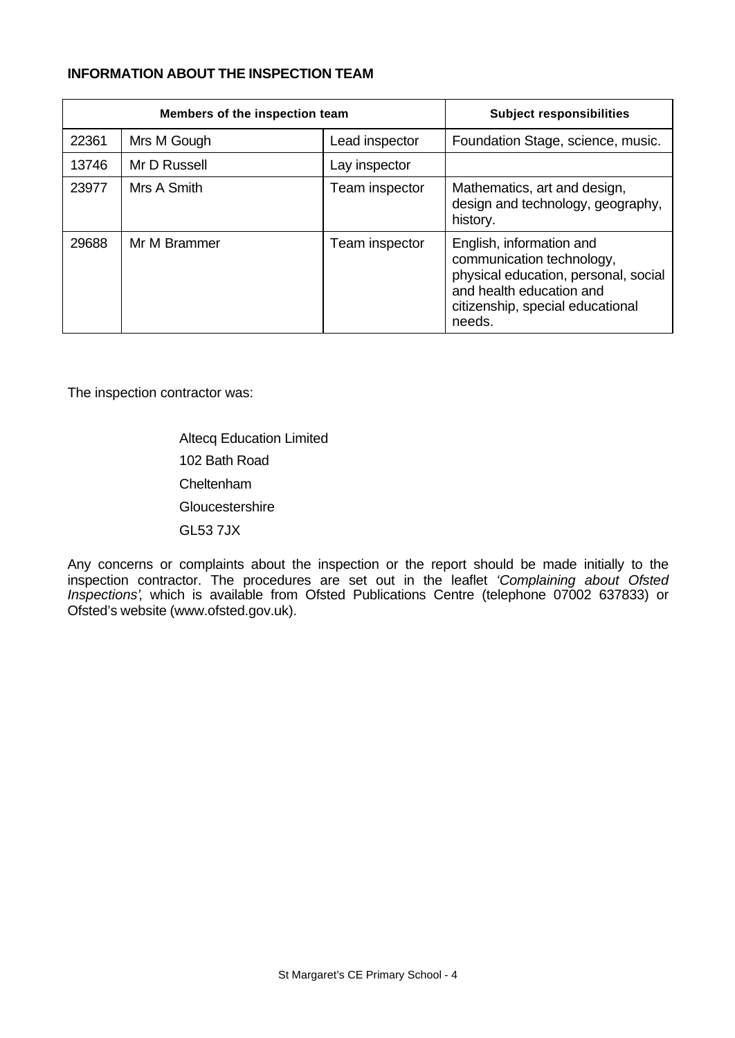# **INFORMATION ABOUT THE INSPECTION TEAM**

| Members of the inspection team |              |                | <b>Subject responsibilities</b>                                                                                                                                         |
|--------------------------------|--------------|----------------|-------------------------------------------------------------------------------------------------------------------------------------------------------------------------|
| 22361                          | Mrs M Gough  | Lead inspector | Foundation Stage, science, music.                                                                                                                                       |
| 13746                          | Mr D Russell | Lay inspector  |                                                                                                                                                                         |
| 23977                          | Mrs A Smith  | Team inspector | Mathematics, art and design,<br>design and technology, geography,<br>history.                                                                                           |
| 29688                          | Mr M Brammer | Team inspector | English, information and<br>communication technology,<br>physical education, personal, social<br>and health education and<br>citizenship, special educational<br>needs. |

The inspection contractor was:

Altecq Education Limited 102 Bath Road Cheltenham **Gloucestershire** GL53 7JX

Any concerns or complaints about the inspection or the report should be made initially to the inspection contractor. The procedures are set out in the leaflet *'Complaining about Ofsted Inspections'*, which is available from Ofsted Publications Centre (telephone 07002 637833) or Ofsted's website (www.ofsted.gov.uk).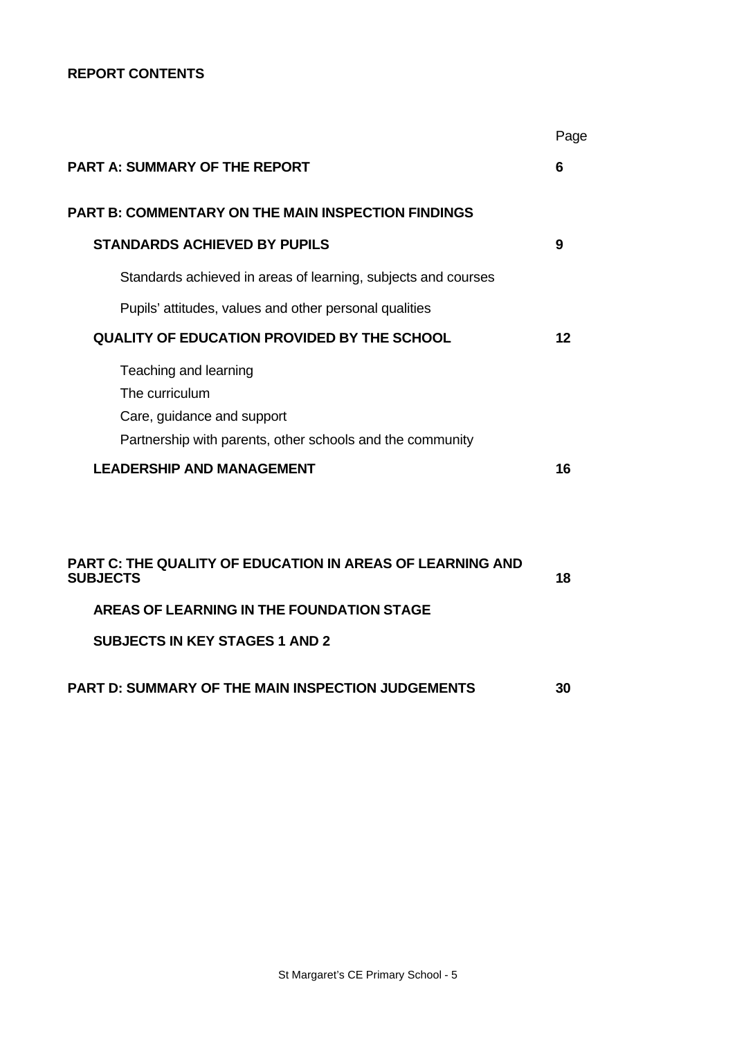# **REPORT CONTENTS**

|                                                                                                                                    | Page |
|------------------------------------------------------------------------------------------------------------------------------------|------|
| <b>PART A: SUMMARY OF THE REPORT</b>                                                                                               | 6    |
| <b>PART B: COMMENTARY ON THE MAIN INSPECTION FINDINGS</b>                                                                          |      |
| <b>STANDARDS ACHIEVED BY PUPILS</b>                                                                                                | 9    |
| Standards achieved in areas of learning, subjects and courses                                                                      |      |
| Pupils' attitudes, values and other personal qualities                                                                             |      |
| <b>QUALITY OF EDUCATION PROVIDED BY THE SCHOOL</b>                                                                                 | 12   |
| Teaching and learning<br>The curriculum<br>Care, guidance and support<br>Partnership with parents, other schools and the community |      |
| <b>LEADERSHIP AND MANAGEMENT</b>                                                                                                   | 16   |
| <b>PART C: THE QUALITY OF EDUCATION IN AREAS OF LEARNING AND</b><br><b>SUBJECTS</b>                                                | 18   |
| <b>AREAS OF LEARNING IN THE FOUNDATION STAGE</b>                                                                                   |      |
| <b>SUBJECTS IN KEY STAGES 1 AND 2</b>                                                                                              |      |

**PART D: SUMMARY OF THE MAIN INSPECTION JUDGEMENTS 30**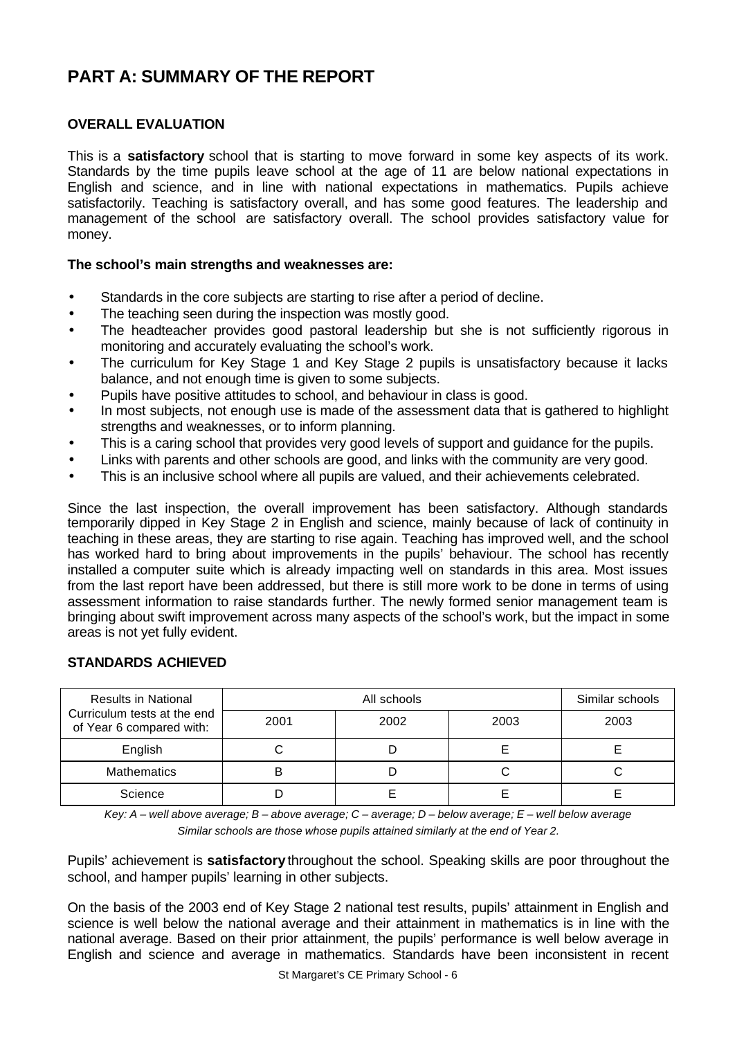# **PART A: SUMMARY OF THE REPORT**

# **OVERALL EVALUATION**

This is a **satisfactory** school that is starting to move forward in some key aspects of its work. Standards by the time pupils leave school at the age of 11 are below national expectations in English and science, and in line with national expectations in mathematics. Pupils achieve satisfactorily. Teaching is satisfactory overall, and has some good features. The leadership and management of the school are satisfactory overall. The school provides satisfactory value for money.

# **The school's main strengths and weaknesses are:**

- Standards in the core subjects are starting to rise after a period of decline.
- The teaching seen during the inspection was mostly good.
- The headteacher provides good pastoral leadership but she is not sufficiently rigorous in monitoring and accurately evaluating the school's work.
- The curriculum for Key Stage 1 and Key Stage 2 pupils is unsatisfactory because it lacks balance, and not enough time is given to some subjects.
- Pupils have positive attitudes to school, and behaviour in class is good.
- In most subjects, not enough use is made of the assessment data that is gathered to highlight strengths and weaknesses, or to inform planning.
- This is a caring school that provides very good levels of support and guidance for the pupils.
- Links with parents and other schools are good, and links with the community are very good.
- This is an inclusive school where all pupils are valued, and their achievements celebrated.

Since the last inspection, the overall improvement has been satisfactory. Although standards temporarily dipped in Key Stage 2 in English and science, mainly because of lack of continuity in teaching in these areas, they are starting to rise again. Teaching has improved well, and the school has worked hard to bring about improvements in the pupils' behaviour. The school has recently installed a computer suite which is already impacting well on standards in this area. Most issues from the last report have been addressed, but there is still more work to be done in terms of using assessment information to raise standards further. The newly formed senior management team is bringing about swift improvement across many aspects of the school's work, but the impact in some areas is not yet fully evident.

# **STANDARDS ACHIEVED**

| <b>Results in National</b>                              |      | Similar schools |      |      |
|---------------------------------------------------------|------|-----------------|------|------|
| Curriculum tests at the end<br>of Year 6 compared with: | 2001 | 2002            | 2003 | 2003 |
| English                                                 | ັ    |                 |      |      |
| <b>Mathematics</b>                                      | B    |                 |      |      |
| Science                                                 |      |                 |      |      |

*Key: A – well above average; B – above average; C – average; D – below average; E – well below average Similar schools are those whose pupils attained similarly at the end of Year 2.*

Pupils' achievement is **satisfactory** throughout the school. Speaking skills are poor throughout the school, and hamper pupils' learning in other subjects.

On the basis of the 2003 end of Key Stage 2 national test results, pupils' attainment in English and science is well below the national average and their attainment in mathematics is in line with the national average. Based on their prior attainment, the pupils' performance is well below average in English and science and average in mathematics. Standards have been inconsistent in recent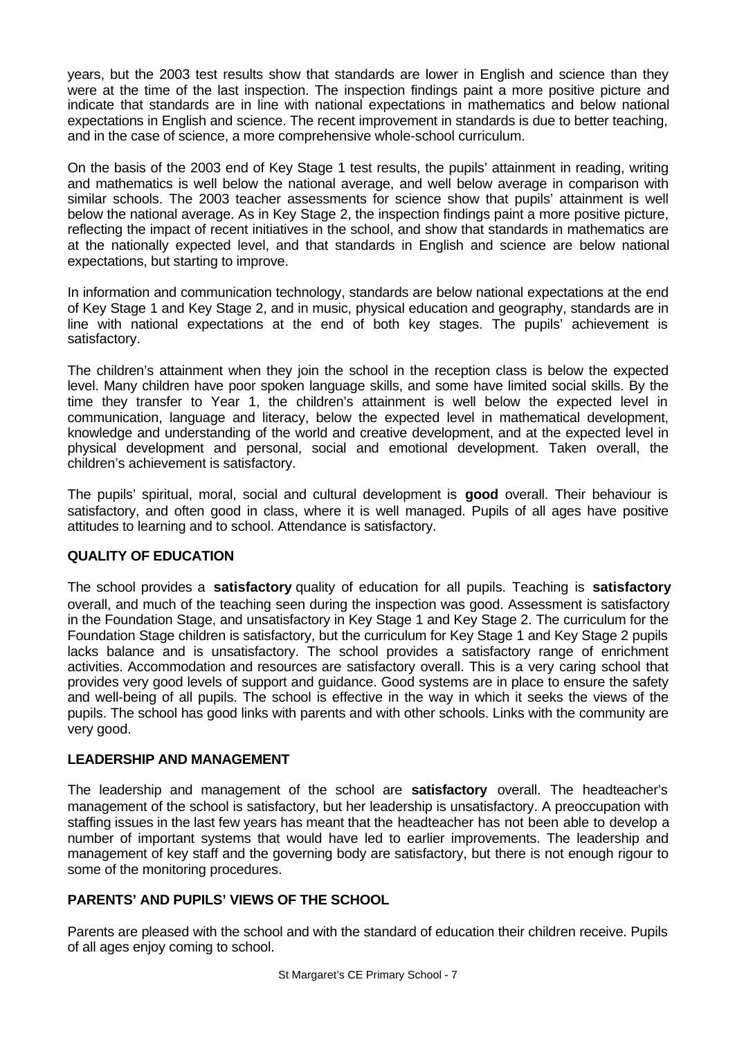years, but the 2003 test results show that standards are lower in English and science than they were at the time of the last inspection. The inspection findings paint a more positive picture and indicate that standards are in line with national expectations in mathematics and below national expectations in English and science. The recent improvement in standards is due to better teaching, and in the case of science, a more comprehensive whole-school curriculum.

On the basis of the 2003 end of Key Stage 1 test results, the pupils' attainment in reading, writing and mathematics is well below the national average, and well below average in comparison with similar schools. The 2003 teacher assessments for science show that pupils' attainment is well below the national average. As in Key Stage 2, the inspection findings paint a more positive picture, reflecting the impact of recent initiatives in the school, and show that standards in mathematics are at the nationally expected level, and that standards in English and science are below national expectations, but starting to improve.

In information and communication technology, standards are below national expectations at the end of Key Stage 1 and Key Stage 2, and in music, physical education and geography, standards are in line with national expectations at the end of both key stages. The pupils' achievement is satisfactory.

The children's attainment when they join the school in the reception class is below the expected level. Many children have poor spoken language skills, and some have limited social skills. By the time they transfer to Year 1, the children's attainment is well below the expected level in communication, language and literacy, below the expected level in mathematical development, knowledge and understanding of the world and creative development, and at the expected level in physical development and personal, social and emotional development. Taken overall, the children's achievement is satisfactory.

The pupils' spiritual, moral, social and cultural development is **good** overall. Their behaviour is satisfactory, and often good in class, where it is well managed. Pupils of all ages have positive attitudes to learning and to school. Attendance is satisfactory.

# **QUALITY OF EDUCATION**

The school provides a **satisfactory** quality of education for all pupils. Teaching is **satisfactory** overall, and much of the teaching seen during the inspection was good. Assessment is satisfactory in the Foundation Stage, and unsatisfactory in Key Stage 1 and Key Stage 2. The curriculum for the Foundation Stage children is satisfactory, but the curriculum for Key Stage 1 and Key Stage 2 pupils lacks balance and is unsatisfactory. The school provides a satisfactory range of enrichment activities. Accommodation and resources are satisfactory overall. This is a very caring school that provides very good levels of support and guidance. Good systems are in place to ensure the safety and well-being of all pupils. The school is effective in the way in which it seeks the views of the pupils. The school has good links with parents and with other schools. Links with the community are very good.

# **LEADERSHIP AND MANAGEMENT**

The leadership and management of the school are **satisfactory** overall. The headteacher's management of the school is satisfactory, but her leadership is unsatisfactory. A preoccupation with staffing issues in the last few years has meant that the headteacher has not been able to develop a number of important systems that would have led to earlier improvements. The leadership and management of key staff and the governing body are satisfactory, but there is not enough rigour to some of the monitoring procedures.

# **PARENTS' AND PUPILS' VIEWS OF THE SCHOOL**

Parents are pleased with the school and with the standard of education their children receive. Pupils of all ages enjoy coming to school.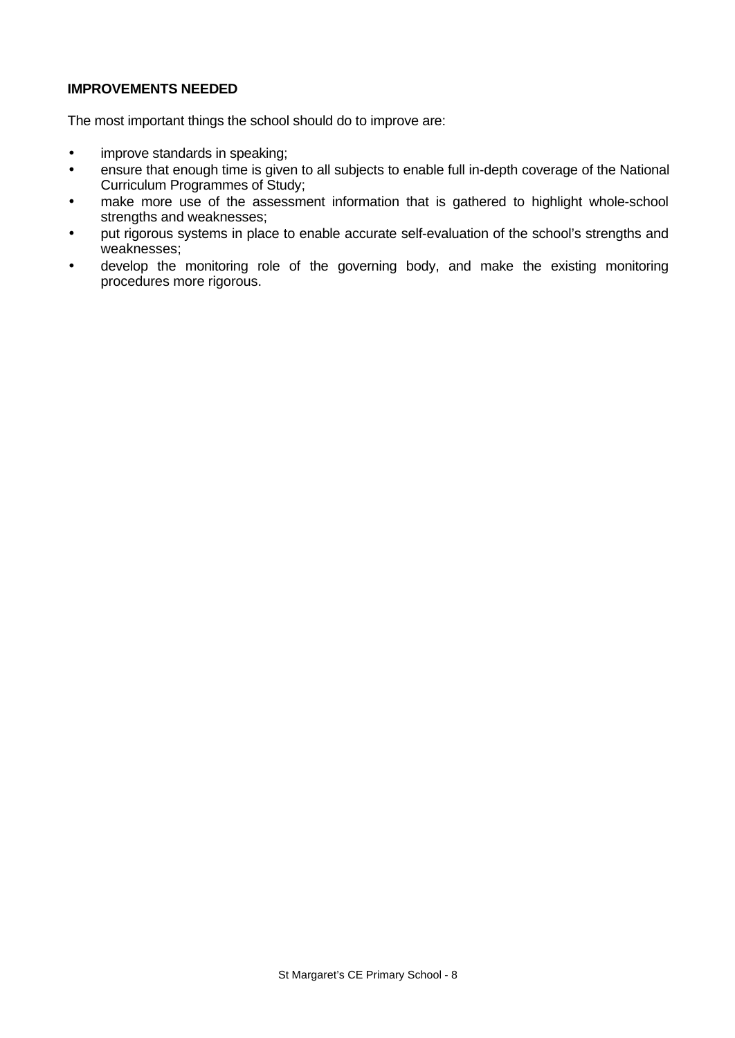# **IMPROVEMENTS NEEDED**

The most important things the school should do to improve are:

- improve standards in speaking;
- ensure that enough time is given to all subjects to enable full in-depth coverage of the National Curriculum Programmes of Study;
- make more use of the assessment information that is gathered to highlight whole-school strengths and weaknesses;
- put rigorous systems in place to enable accurate self-evaluation of the school's strengths and weaknesses;
- develop the monitoring role of the governing body, and make the existing monitoring procedures more rigorous.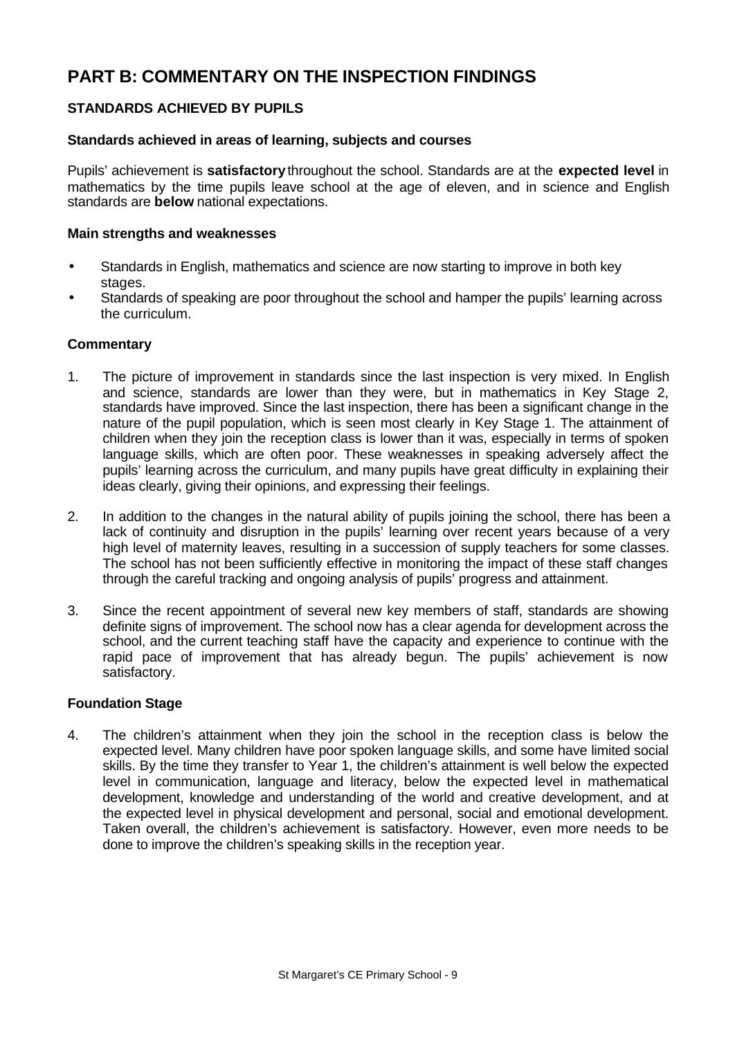# **PART B: COMMENTARY ON THE INSPECTION FINDINGS**

# **STANDARDS ACHIEVED BY PUPILS**

#### **Standards achieved in areas of learning, subjects and courses**

Pupils' achievement is **satisfactory** throughout the school. Standards are at the **expected level** in mathematics by the time pupils leave school at the age of eleven, and in science and English standards are **below** national expectations.

#### **Main strengths and weaknesses**

- Standards in English, mathematics and science are now starting to improve in both key stages.
- Standards of speaking are poor throughout the school and hamper the pupils' learning across the curriculum.

# **Commentary**

- 1. The picture of improvement in standards since the last inspection is very mixed. In English and science, standards are lower than they were, but in mathematics in Key Stage 2, standards have improved. Since the last inspection, there has been a significant change in the nature of the pupil population, which is seen most clearly in Key Stage 1. The attainment of children when they join the reception class is lower than it was, especially in terms of spoken language skills, which are often poor. These weaknesses in speaking adversely affect the pupils' learning across the curriculum, and many pupils have great difficulty in explaining their ideas clearly, giving their opinions, and expressing their feelings.
- 2. In addition to the changes in the natural ability of pupils joining the school, there has been a lack of continuity and disruption in the pupils' learning over recent years because of a very high level of maternity leaves, resulting in a succession of supply teachers for some classes. The school has not been sufficiently effective in monitoring the impact of these staff changes through the careful tracking and ongoing analysis of pupils' progress and attainment.
- 3. Since the recent appointment of several new key members of staff, standards are showing definite signs of improvement. The school now has a clear agenda for development across the school, and the current teaching staff have the capacity and experience to continue with the rapid pace of improvement that has already begun. The pupils' achievement is now satisfactory.

# **Foundation Stage**

4. The children's attainment when they join the school in the reception class is below the expected level. Many children have poor spoken language skills, and some have limited social skills. By the time they transfer to Year 1, the children's attainment is well below the expected level in communication, language and literacy, below the expected level in mathematical development, knowledge and understanding of the world and creative development, and at the expected level in physical development and personal, social and emotional development. Taken overall, the children's achievement is satisfactory. However, even more needs to be done to improve the children's speaking skills in the reception year.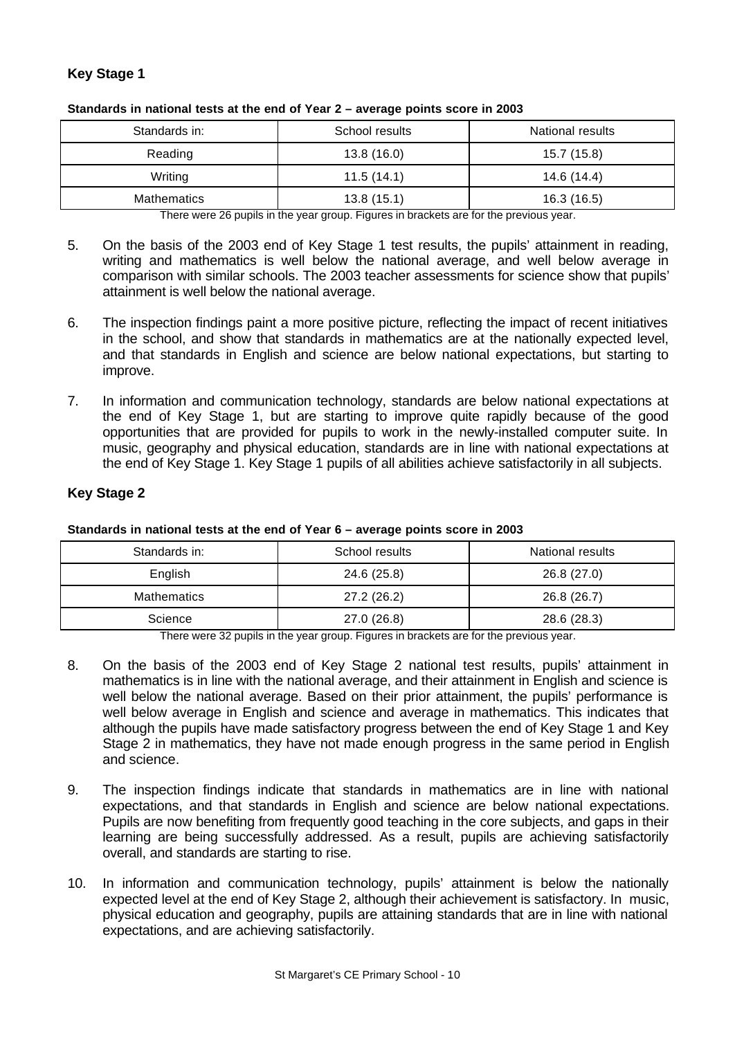# **Key Stage 1**

| Standards in:      | School results | National results |
|--------------------|----------------|------------------|
| Reading            | 13.8(16.0)     | 15.7 (15.8)      |
| Writing            | 11.5(14.1)     | 14.6 (14.4)      |
| <b>Mathematics</b> | 13.8(15.1)     | 16.3(16.5)       |

**Standards in national tests at the end of Year 2 – average points score in 2003**

There were 26 pupils in the year group. Figures in brackets are for the previous year.

- 5. On the basis of the 2003 end of Key Stage 1 test results, the pupils' attainment in reading, writing and mathematics is well below the national average, and well below average in comparison with similar schools. The 2003 teacher assessments for science show that pupils' attainment is well below the national average.
- 6. The inspection findings paint a more positive picture, reflecting the impact of recent initiatives in the school, and show that standards in mathematics are at the nationally expected level, and that standards in English and science are below national expectations, but starting to improve.
- 7. In information and communication technology, standards are below national expectations at the end of Key Stage 1, but are starting to improve quite rapidly because of the good opportunities that are provided for pupils to work in the newly-installed computer suite. In music, geography and physical education, standards are in line with national expectations at the end of Key Stage 1. Key Stage 1 pupils of all abilities achieve satisfactorily in all subjects.

# **Key Stage 2**

**Standards in national tests at the end of Year 6 – average points score in 2003**

| Standards in:      | School results | National results |
|--------------------|----------------|------------------|
| English            | 24.6 (25.8)    | 26.8 (27.0)      |
| <b>Mathematics</b> | 27.2 (26.2)    | 26.8 (26.7)      |
| Science            | 27.0 (26.8)    | 28.6 (28.3)      |

There were 32 pupils in the year group. Figures in brackets are for the previous year.

- 8. On the basis of the 2003 end of Key Stage 2 national test results, pupils' attainment in mathematics is in line with the national average, and their attainment in English and science is well below the national average. Based on their prior attainment, the pupils' performance is well below average in English and science and average in mathematics. This indicates that although the pupils have made satisfactory progress between the end of Key Stage 1 and Key Stage 2 in mathematics, they have not made enough progress in the same period in English and science.
- 9. The inspection findings indicate that standards in mathematics are in line with national expectations, and that standards in English and science are below national expectations. Pupils are now benefiting from frequently good teaching in the core subjects, and gaps in their learning are being successfully addressed. As a result, pupils are achieving satisfactorily overall, and standards are starting to rise.
- 10. In information and communication technology, pupils' attainment is below the nationally expected level at the end of Key Stage 2, although their achievement is satisfactory. In music, physical education and geography, pupils are attaining standards that are in line with national expectations, and are achieving satisfactorily.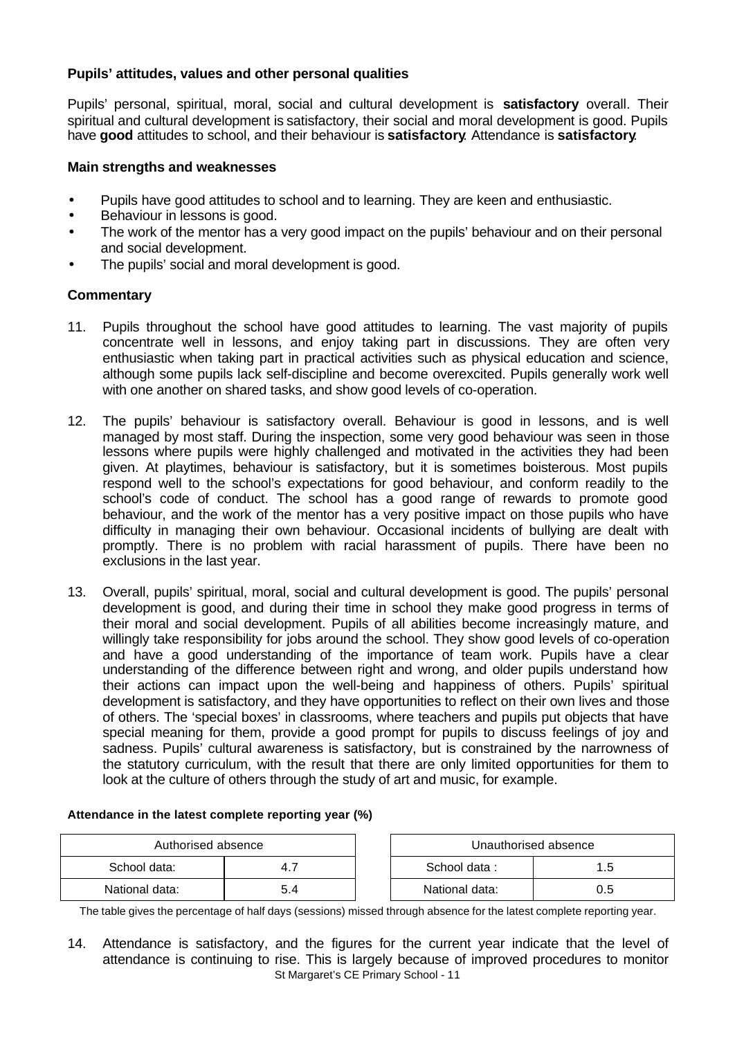# **Pupils' attitudes, values and other personal qualities**

Pupils' personal, spiritual, moral, social and cultural development is **satisfactory** overall. Their spiritual and cultural development is satisfactory, their social and moral development is good. Pupils have **good** attitudes to school, and their behaviour is **satisfactory**. Attendance is **satisfactory**.

# **Main strengths and weaknesses**

- Pupils have good attitudes to school and to learning. They are keen and enthusiastic.
- Behaviour in lessons is good.
- The work of the mentor has a very good impact on the pupils' behaviour and on their personal and social development.
- The pupils' social and moral development is good.

# **Commentary**

- 11. Pupils throughout the school have good attitudes to learning. The vast majority of pupils concentrate well in lessons, and enjoy taking part in discussions. They are often very enthusiastic when taking part in practical activities such as physical education and science, although some pupils lack self-discipline and become overexcited. Pupils generally work well with one another on shared tasks, and show good levels of co-operation.
- 12. The pupils' behaviour is satisfactory overall. Behaviour is good in lessons, and is well managed by most staff. During the inspection, some very good behaviour was seen in those lessons where pupils were highly challenged and motivated in the activities they had been given. At playtimes, behaviour is satisfactory, but it is sometimes boisterous. Most pupils respond well to the school's expectations for good behaviour, and conform readily to the school's code of conduct. The school has a good range of rewards to promote good behaviour, and the work of the mentor has a very positive impact on those pupils who have difficulty in managing their own behaviour. Occasional incidents of bullying are dealt with promptly. There is no problem with racial harassment of pupils. There have been no exclusions in the last year.
- 13. Overall, pupils' spiritual, moral, social and cultural development is good. The pupils' personal development is good, and during their time in school they make good progress in terms of their moral and social development. Pupils of all abilities become increasingly mature, and willingly take responsibility for jobs around the school. They show good levels of co-operation and have a good understanding of the importance of team work. Pupils have a clear understanding of the difference between right and wrong, and older pupils understand how their actions can impact upon the well-being and happiness of others. Pupils' spiritual development is satisfactory, and they have opportunities to reflect on their own lives and those of others. The 'special boxes' in classrooms, where teachers and pupils put objects that have special meaning for them, provide a good prompt for pupils to discuss feelings of joy and sadness. Pupils' cultural awareness is satisfactory, but is constrained by the narrowness of the statutory curriculum, with the result that there are only limited opportunities for them to look at the culture of others through the study of art and music, for example.

#### **Attendance in the latest complete reporting year (%)**

| Authorised absence |     |                | Unauthorised absence |
|--------------------|-----|----------------|----------------------|
| School data:       |     | School data:   | 1.5                  |
| National data:     | 5.4 | National data: | 0.5                  |

The table gives the percentage of half days (sessions) missed through absence for the latest complete reporting year.

St Margaret's CE Primary School - 11 14. Attendance is satisfactory, and the figures for the current year indicate that the level of attendance is continuing to rise. This is largely because of improved procedures to monitor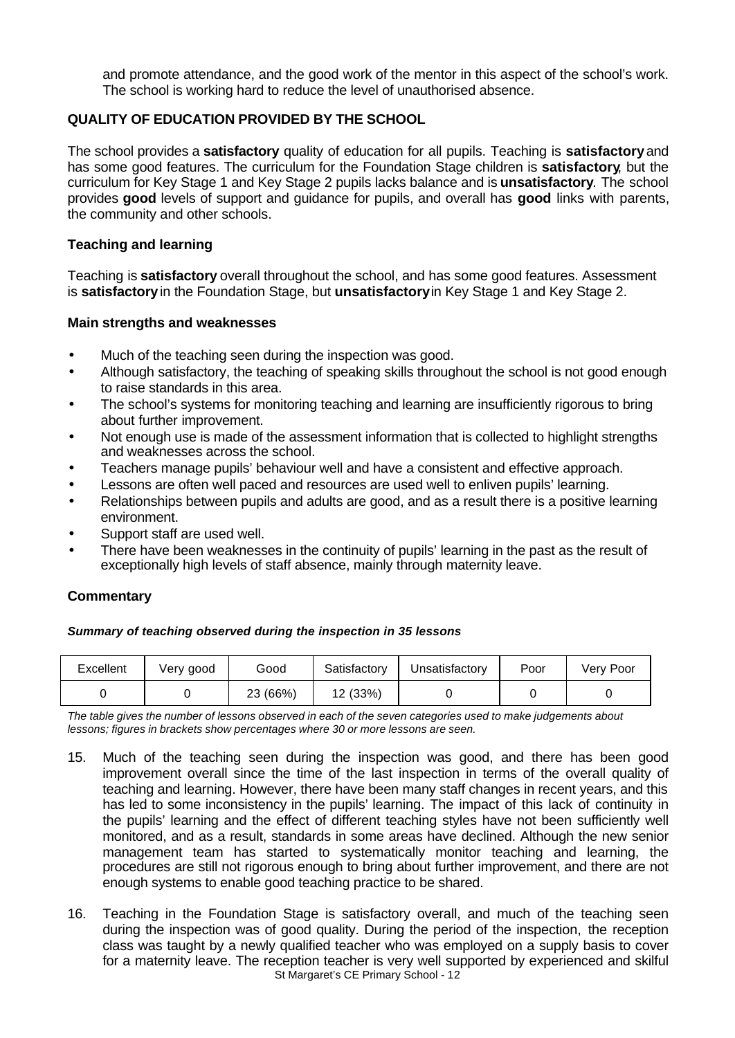and promote attendance, and the good work of the mentor in this aspect of the school's work. The school is working hard to reduce the level of unauthorised absence.

# **QUALITY OF EDUCATION PROVIDED BY THE SCHOOL**

The school provides a **satisfactory** quality of education for all pupils. Teaching is **satisfactory** and has some good features. The curriculum for the Foundation Stage children is **satisfactory**, but the curriculum for Key Stage 1 and Key Stage 2 pupils lacks balance and is **unsatisfactory**. The school provides **good** levels of support and guidance for pupils, and overall has **good** links with parents, the community and other schools.

# **Teaching and learning**

Teaching is **satisfactory** overall throughout the school, and has some good features. Assessment is **satisfactory** in the Foundation Stage, but **unsatisfactory** in Key Stage 1 and Key Stage 2.

# **Main strengths and weaknesses**

- Much of the teaching seen during the inspection was good.
- Although satisfactory, the teaching of speaking skills throughout the school is not good enough to raise standards in this area.
- The school's systems for monitoring teaching and learning are insufficiently rigorous to bring about further improvement.
- Not enough use is made of the assessment information that is collected to highlight strengths and weaknesses across the school.
- Teachers manage pupils' behaviour well and have a consistent and effective approach.
- Lessons are often well paced and resources are used well to enliven pupils' learning.
- Relationships between pupils and adults are good, and as a result there is a positive learning environment.
- Support staff are used well.
- There have been weaknesses in the continuity of pupils' learning in the past as the result of exceptionally high levels of staff absence, mainly through maternity leave.

# **Commentary**

*Summary of teaching observed during the inspection in 35 lessons*

| Excellent | Verv good | Good     | Satisfactory | Unsatisfactory | Poor | Very Poor |
|-----------|-----------|----------|--------------|----------------|------|-----------|
|           |           | 23 (66%) | 12 (33%)     |                |      |           |

*The table gives the number of lessons observed in each of the seven categories used to make judgements about lessons; figures in brackets show percentages where 30 or more lessons are seen.*

- 15. Much of the teaching seen during the inspection was good, and there has been good improvement overall since the time of the last inspection in terms of the overall quality of teaching and learning. However, there have been many staff changes in recent years, and this has led to some inconsistency in the pupils' learning. The impact of this lack of continuity in the pupils' learning and the effect of different teaching styles have not been sufficiently well monitored, and as a result, standards in some areas have declined. Although the new senior management team has started to systematically monitor teaching and learning, the procedures are still not rigorous enough to bring about further improvement, and there are not enough systems to enable good teaching practice to be shared.
- St Margaret's CE Primary School 12 16. Teaching in the Foundation Stage is satisfactory overall, and much of the teaching seen during the inspection was of good quality. During the period of the inspection, the reception class was taught by a newly qualified teacher who was employed on a supply basis to cover for a maternity leave. The reception teacher is very well supported by experienced and skilful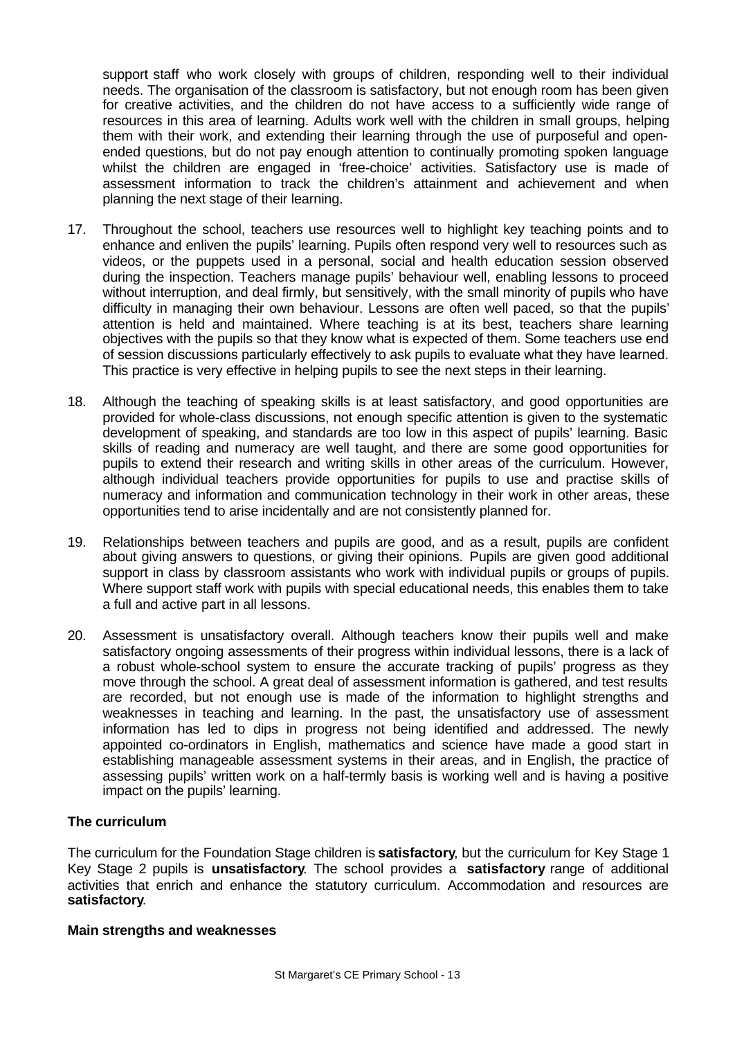support staff who work closely with groups of children, responding well to their individual needs. The organisation of the classroom is satisfactory, but not enough room has been given for creative activities, and the children do not have access to a sufficiently wide range of resources in this area of learning. Adults work well with the children in small groups, helping them with their work, and extending their learning through the use of purposeful and openended questions, but do not pay enough attention to continually promoting spoken language whilst the children are engaged in 'free-choice' activities. Satisfactory use is made of assessment information to track the children's attainment and achievement and when planning the next stage of their learning.

- 17. Throughout the school, teachers use resources well to highlight key teaching points and to enhance and enliven the pupils' learning. Pupils often respond very well to resources such as videos, or the puppets used in a personal, social and health education session observed during the inspection. Teachers manage pupils' behaviour well, enabling lessons to proceed without interruption, and deal firmly, but sensitively, with the small minority of pupils who have difficulty in managing their own behaviour. Lessons are often well paced, so that the pupils' attention is held and maintained. Where teaching is at its best, teachers share learning objectives with the pupils so that they know what is expected of them. Some teachers use end of session discussions particularly effectively to ask pupils to evaluate what they have learned. This practice is very effective in helping pupils to see the next steps in their learning.
- 18. Although the teaching of speaking skills is at least satisfactory, and good opportunities are provided for whole-class discussions, not enough specific attention is given to the systematic development of speaking, and standards are too low in this aspect of pupils' learning. Basic skills of reading and numeracy are well taught, and there are some good opportunities for pupils to extend their research and writing skills in other areas of the curriculum. However, although individual teachers provide opportunities for pupils to use and practise skills of numeracy and information and communication technology in their work in other areas, these opportunities tend to arise incidentally and are not consistently planned for.
- 19. Relationships between teachers and pupils are good, and as a result, pupils are confident about giving answers to questions, or giving their opinions. Pupils are given good additional support in class by classroom assistants who work with individual pupils or groups of pupils. Where support staff work with pupils with special educational needs, this enables them to take a full and active part in all lessons.
- 20. Assessment is unsatisfactory overall. Although teachers know their pupils well and make satisfactory ongoing assessments of their progress within individual lessons, there is a lack of a robust whole-school system to ensure the accurate tracking of pupils' progress as they move through the school. A great deal of assessment information is gathered, and test results are recorded, but not enough use is made of the information to highlight strengths and weaknesses in teaching and learning. In the past, the unsatisfactory use of assessment information has led to dips in progress not being identified and addressed. The newly appointed co-ordinators in English, mathematics and science have made a good start in establishing manageable assessment systems in their areas, and in English, the practice of assessing pupils' written work on a half-termly basis is working well and is having a positive impact on the pupils' learning.

#### **The curriculum**

The curriculum for the Foundation Stage children is **satisfactory**, but the curriculum for Key Stage 1 Key Stage 2 pupils is **unsatisfactory**. The school provides a **satisfactory** range of additional activities that enrich and enhance the statutory curriculum. Accommodation and resources are **satisfactory**.

#### **Main strengths and weaknesses**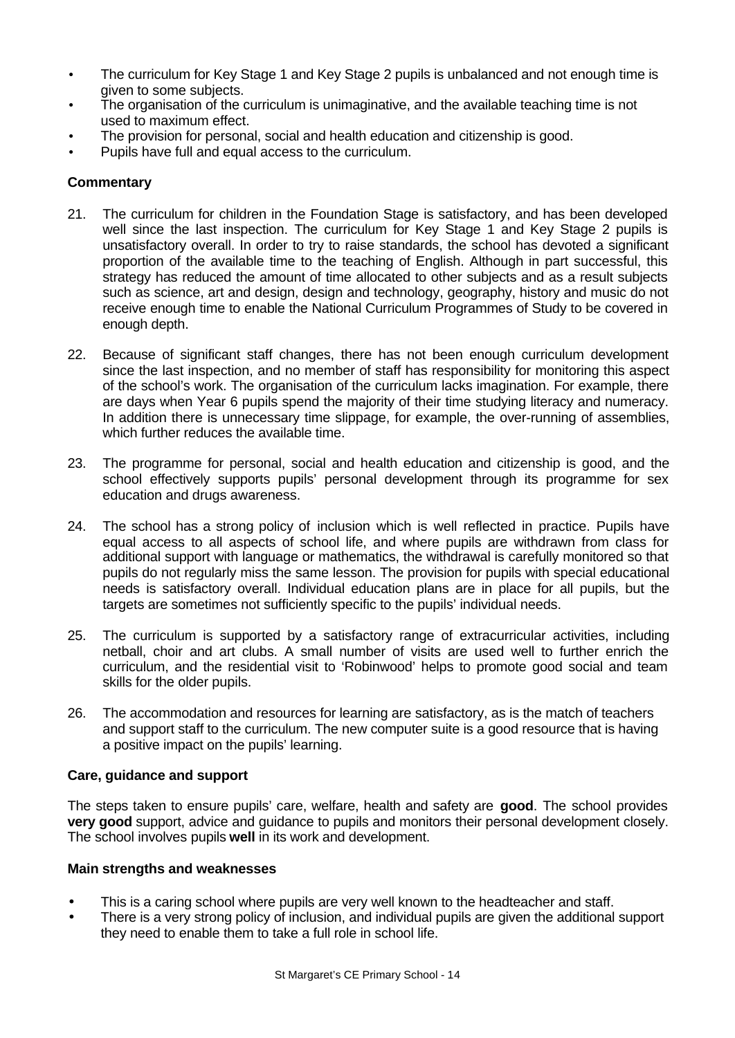- The curriculum for Key Stage 1 and Key Stage 2 pupils is unbalanced and not enough time is given to some subjects.
- The organisation of the curriculum is unimaginative, and the available teaching time is not used to maximum effect.
- The provision for personal, social and health education and citizenship is good.
- Pupils have full and equal access to the curriculum.

# **Commentary**

- 21. The curriculum for children in the Foundation Stage is satisfactory, and has been developed well since the last inspection. The curriculum for Key Stage 1 and Key Stage 2 pupils is unsatisfactory overall. In order to try to raise standards, the school has devoted a significant proportion of the available time to the teaching of English. Although in part successful, this strategy has reduced the amount of time allocated to other subjects and as a result subjects such as science, art and design, design and technology, geography, history and music do not receive enough time to enable the National Curriculum Programmes of Study to be covered in enough depth.
- 22. Because of significant staff changes, there has not been enough curriculum development since the last inspection, and no member of staff has responsibility for monitoring this aspect of the school's work. The organisation of the curriculum lacks imagination. For example, there are days when Year 6 pupils spend the majority of their time studying literacy and numeracy. In addition there is unnecessary time slippage, for example, the over-running of assemblies, which further reduces the available time.
- 23. The programme for personal, social and health education and citizenship is good, and the school effectively supports pupils' personal development through its programme for sex education and drugs awareness.
- 24. The school has a strong policy of inclusion which is well reflected in practice. Pupils have equal access to all aspects of school life, and where pupils are withdrawn from class for additional support with language or mathematics, the withdrawal is carefully monitored so that pupils do not regularly miss the same lesson. The provision for pupils with special educational needs is satisfactory overall. Individual education plans are in place for all pupils, but the targets are sometimes not sufficiently specific to the pupils' individual needs.
- 25. The curriculum is supported by a satisfactory range of extracurricular activities, including netball, choir and art clubs. A small number of visits are used well to further enrich the curriculum, and the residential visit to 'Robinwood' helps to promote good social and team skills for the older pupils.
- 26. The accommodation and resources for learning are satisfactory, as is the match of teachers and support staff to the curriculum. The new computer suite is a good resource that is having a positive impact on the pupils' learning.

# **Care, guidance and support**

The steps taken to ensure pupils' care, welfare, health and safety are **good**. The school provides **very good** support, advice and guidance to pupils and monitors their personal development closely. The school involves pupils **well** in its work and development.

# **Main strengths and weaknesses**

- This is a caring school where pupils are very well known to the headteacher and staff.
- There is a very strong policy of inclusion, and individual pupils are given the additional support they need to enable them to take a full role in school life.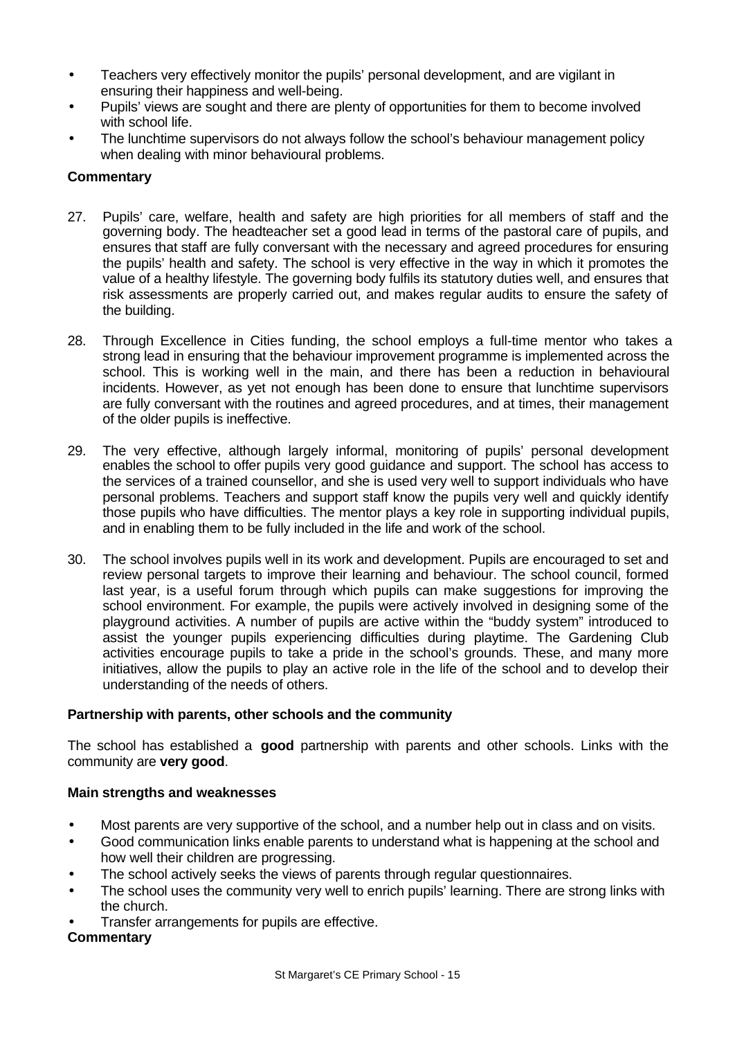- Teachers very effectively monitor the pupils' personal development, and are vigilant in ensuring their happiness and well-being.
- Pupils' views are sought and there are plenty of opportunities for them to become involved with school life.
- The lunchtime supervisors do not always follow the school's behaviour management policy when dealing with minor behavioural problems.

# **Commentary**

- 27. Pupils' care, welfare, health and safety are high priorities for all members of staff and the governing body. The headteacher set a good lead in terms of the pastoral care of pupils, and ensures that staff are fully conversant with the necessary and agreed procedures for ensuring the pupils' health and safety. The school is very effective in the way in which it promotes the value of a healthy lifestyle. The governing body fulfils its statutory duties well, and ensures that risk assessments are properly carried out, and makes regular audits to ensure the safety of the building.
- 28. Through Excellence in Cities funding, the school employs a full-time mentor who takes a strong lead in ensuring that the behaviour improvement programme is implemented across the school. This is working well in the main, and there has been a reduction in behavioural incidents. However, as yet not enough has been done to ensure that lunchtime supervisors are fully conversant with the routines and agreed procedures, and at times, their management of the older pupils is ineffective.
- 29. The very effective, although largely informal, monitoring of pupils' personal development enables the school to offer pupils very good guidance and support. The school has access to the services of a trained counsellor, and she is used very well to support individuals who have personal problems. Teachers and support staff know the pupils very well and quickly identify those pupils who have difficulties. The mentor plays a key role in supporting individual pupils, and in enabling them to be fully included in the life and work of the school.
- 30. The school involves pupils well in its work and development. Pupils are encouraged to set and review personal targets to improve their learning and behaviour. The school council, formed last year, is a useful forum through which pupils can make suggestions for improving the school environment. For example, the pupils were actively involved in designing some of the playground activities. A number of pupils are active within the "buddy system" introduced to assist the younger pupils experiencing difficulties during playtime. The Gardening Club activities encourage pupils to take a pride in the school's grounds. These, and many more initiatives, allow the pupils to play an active role in the life of the school and to develop their understanding of the needs of others.

# **Partnership with parents, other schools and the community**

The school has established a **good** partnership with parents and other schools. Links with the community are **very good**.

# **Main strengths and weaknesses**

- Most parents are very supportive of the school, and a number help out in class and on visits.
- Good communication links enable parents to understand what is happening at the school and how well their children are progressing.
- The school actively seeks the views of parents through regular questionnaires.
- The school uses the community very well to enrich pupils' learning. There are strong links with the church.
- Transfer arrangements for pupils are effective.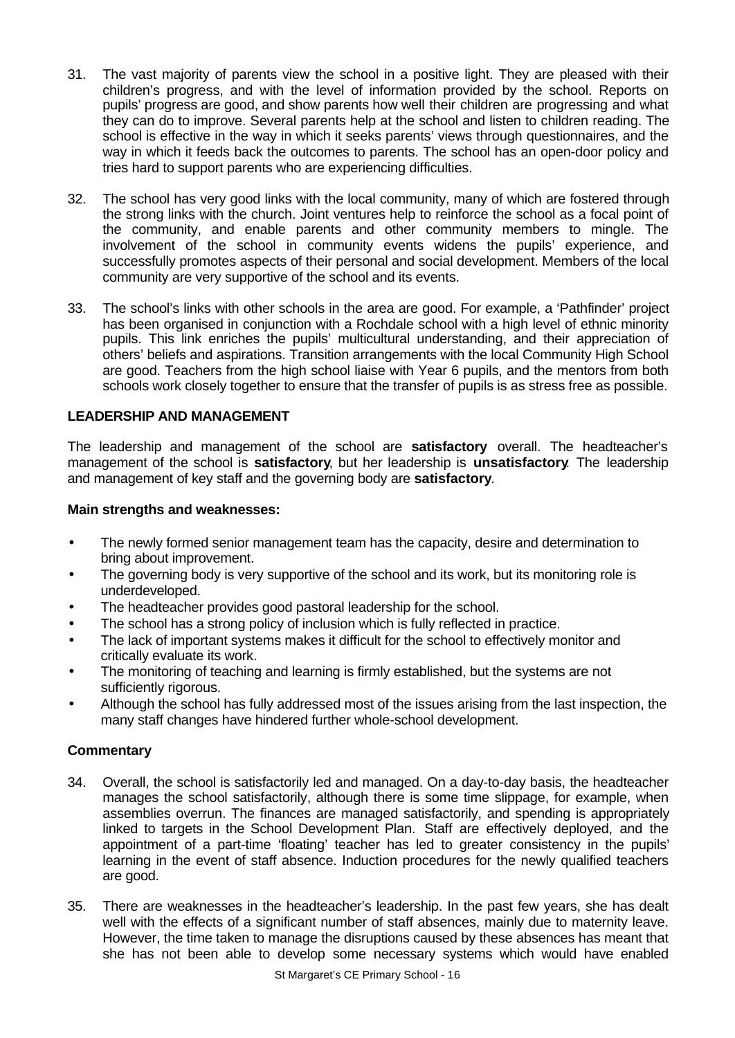- 31. The vast majority of parents view the school in a positive light. They are pleased with their children's progress, and with the level of information provided by the school. Reports on pupils' progress are good, and show parents how well their children are progressing and what they can do to improve. Several parents help at the school and listen to children reading. The school is effective in the way in which it seeks parents' views through questionnaires, and the way in which it feeds back the outcomes to parents. The school has an open-door policy and tries hard to support parents who are experiencing difficulties.
- 32. The school has very good links with the local community, many of which are fostered through the strong links with the church. Joint ventures help to reinforce the school as a focal point of the community, and enable parents and other community members to mingle. The involvement of the school in community events widens the pupils' experience, and successfully promotes aspects of their personal and social development. Members of the local community are very supportive of the school and its events.
- 33. The school's links with other schools in the area are good. For example, a 'Pathfinder' project has been organised in conjunction with a Rochdale school with a high level of ethnic minority pupils. This link enriches the pupils' multicultural understanding, and their appreciation of others' beliefs and aspirations. Transition arrangements with the local Community High School are good. Teachers from the high school liaise with Year 6 pupils, and the mentors from both schools work closely together to ensure that the transfer of pupils is as stress free as possible.

# **LEADERSHIP AND MANAGEMENT**

The leadership and management of the school are **satisfactory** overall. The headteacher's management of the school is **satisfactory**, but her leadership is **unsatisfactory**. The leadership and management of key staff and the governing body are **satisfactory**.

#### **Main strengths and weaknesses:**

- The newly formed senior management team has the capacity, desire and determination to bring about improvement.
- The governing body is very supportive of the school and its work, but its monitoring role is underdeveloped.
- The headteacher provides good pastoral leadership for the school.
- The school has a strong policy of inclusion which is fully reflected in practice.
- The lack of important systems makes it difficult for the school to effectively monitor and critically evaluate its work.
- The monitoring of teaching and learning is firmly established, but the systems are not sufficiently rigorous.
- Although the school has fully addressed most of the issues arising from the last inspection, the many staff changes have hindered further whole-school development.

- 34. Overall, the school is satisfactorily led and managed. On a day-to-day basis, the headteacher manages the school satisfactorily, although there is some time slippage, for example, when assemblies overrun. The finances are managed satisfactorily, and spending is appropriately linked to targets in the School Development Plan. Staff are effectively deployed, and the appointment of a part-time 'floating' teacher has led to greater consistency in the pupils' learning in the event of staff absence. Induction procedures for the newly qualified teachers are good.
- 35. There are weaknesses in the headteacher's leadership. In the past few years, she has dealt well with the effects of a significant number of staff absences, mainly due to maternity leave. However, the time taken to manage the disruptions caused by these absences has meant that she has not been able to develop some necessary systems which would have enabled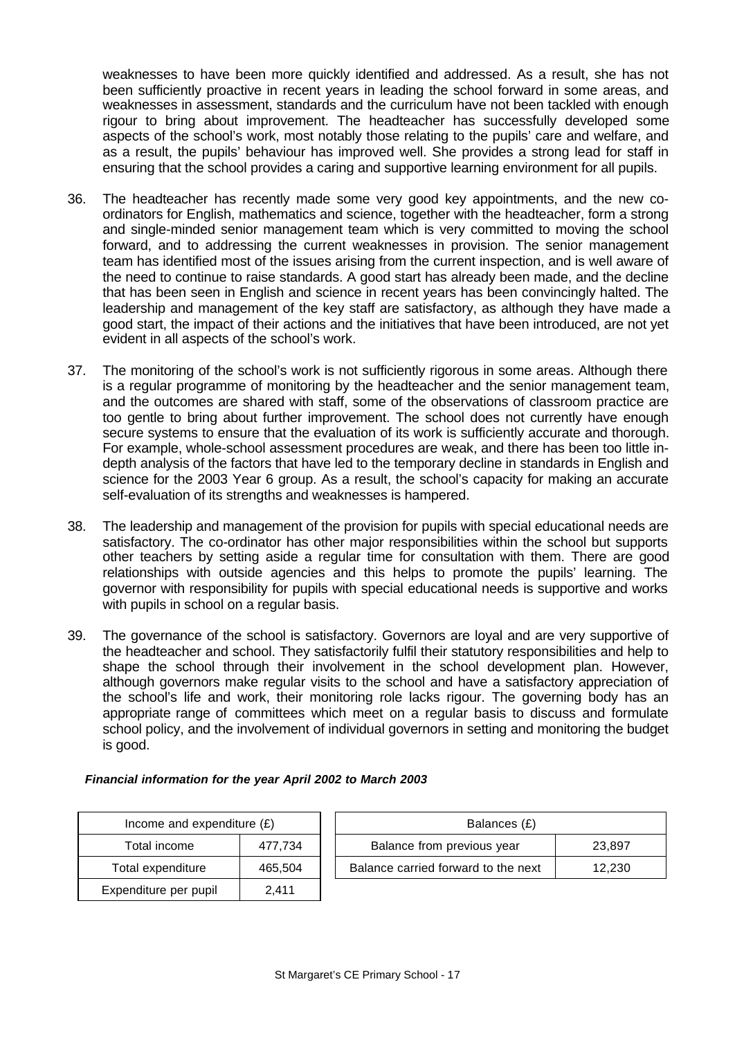weaknesses to have been more quickly identified and addressed. As a result, she has not been sufficiently proactive in recent years in leading the school forward in some areas, and weaknesses in assessment, standards and the curriculum have not been tackled with enough rigour to bring about improvement. The headteacher has successfully developed some aspects of the school's work, most notably those relating to the pupils' care and welfare, and as a result, the pupils' behaviour has improved well. She provides a strong lead for staff in ensuring that the school provides a caring and supportive learning environment for all pupils.

- 36. The headteacher has recently made some very good key appointments, and the new coordinators for English, mathematics and science, together with the headteacher, form a strong and single-minded senior management team which is very committed to moving the school forward, and to addressing the current weaknesses in provision. The senior management team has identified most of the issues arising from the current inspection, and is well aware of the need to continue to raise standards. A good start has already been made, and the decline that has been seen in English and science in recent years has been convincingly halted. The leadership and management of the key staff are satisfactory, as although they have made a good start, the impact of their actions and the initiatives that have been introduced, are not yet evident in all aspects of the school's work.
- 37. The monitoring of the school's work is not sufficiently rigorous in some areas. Although there is a regular programme of monitoring by the headteacher and the senior management team, and the outcomes are shared with staff, some of the observations of classroom practice are too gentle to bring about further improvement. The school does not currently have enough secure systems to ensure that the evaluation of its work is sufficiently accurate and thorough. For example, whole-school assessment procedures are weak, and there has been too little indepth analysis of the factors that have led to the temporary decline in standards in English and science for the 2003 Year 6 group. As a result, the school's capacity for making an accurate self-evaluation of its strengths and weaknesses is hampered.
- 38. The leadership and management of the provision for pupils with special educational needs are satisfactory. The co-ordinator has other major responsibilities within the school but supports other teachers by setting aside a regular time for consultation with them. There are good relationships with outside agencies and this helps to promote the pupils' learning. The governor with responsibility for pupils with special educational needs is supportive and works with pupils in school on a regular basis.
- 39. The governance of the school is satisfactory. Governors are loyal and are very supportive of the headteacher and school. They satisfactorily fulfil their statutory responsibilities and help to shape the school through their involvement in the school development plan. However, although governors make regular visits to the school and have a satisfactory appreciation of the school's life and work, their monitoring role lacks rigour. The governing body has an appropriate range of committees which meet on a regular basis to discuss and formulate school policy, and the involvement of individual governors in setting and monitoring the budget is good.

#### *Financial information for the year April 2002 to March 2003*

| Income and expenditure $(E)$ |         |  |  |  |
|------------------------------|---------|--|--|--|
| Total income<br>477,734      |         |  |  |  |
| Total expenditure            | 465,504 |  |  |  |
| Expenditure per pupil        | 2.411   |  |  |  |

| Income and expenditure $(E)$ |         | Balances (£)                         |        |  |
|------------------------------|---------|--------------------------------------|--------|--|
| Total income                 | 477.734 | Balance from previous year<br>23.897 |        |  |
| Total expenditure            | 465.504 | Balance carried forward to the next  | 12.230 |  |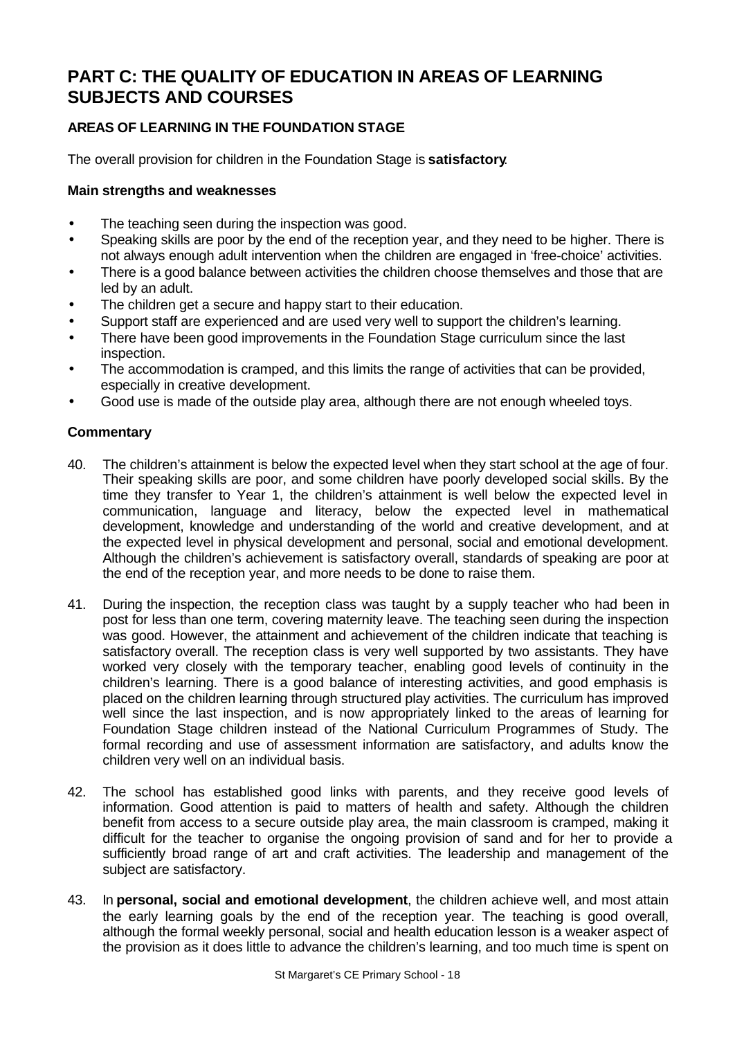# **PART C: THE QUALITY OF EDUCATION IN AREAS OF LEARNING SUBJECTS AND COURSES**

# **AREAS OF LEARNING IN THE FOUNDATION STAGE**

The overall provision for children in the Foundation Stage is **satisfactory**.

# **Main strengths and weaknesses**

- The teaching seen during the inspection was good.
- Speaking skills are poor by the end of the reception year, and they need to be higher. There is not always enough adult intervention when the children are engaged in 'free-choice' activities.
- There is a good balance between activities the children choose themselves and those that are led by an adult.
- The children get a secure and happy start to their education.
- Support staff are experienced and are used very well to support the children's learning.
- There have been good improvements in the Foundation Stage curriculum since the last inspection.
- The accommodation is cramped, and this limits the range of activities that can be provided, especially in creative development.
- Good use is made of the outside play area, although there are not enough wheeled toys.

- 40. The children's attainment is below the expected level when they start school at the age of four. Their speaking skills are poor, and some children have poorly developed social skills. By the time they transfer to Year 1, the children's attainment is well below the expected level in communication, language and literacy, below the expected level in mathematical development, knowledge and understanding of the world and creative development, and at the expected level in physical development and personal, social and emotional development. Although the children's achievement is satisfactory overall, standards of speaking are poor at the end of the reception year, and more needs to be done to raise them.
- 41. During the inspection, the reception class was taught by a supply teacher who had been in post for less than one term, covering maternity leave. The teaching seen during the inspection was good. However, the attainment and achievement of the children indicate that teaching is satisfactory overall. The reception class is very well supported by two assistants. They have worked very closely with the temporary teacher, enabling good levels of continuity in the children's learning. There is a good balance of interesting activities, and good emphasis is placed on the children learning through structured play activities. The curriculum has improved well since the last inspection, and is now appropriately linked to the areas of learning for Foundation Stage children instead of the National Curriculum Programmes of Study. The formal recording and use of assessment information are satisfactory, and adults know the children very well on an individual basis.
- 42. The school has established good links with parents, and they receive good levels of information. Good attention is paid to matters of health and safety. Although the children benefit from access to a secure outside play area, the main classroom is cramped, making it difficult for the teacher to organise the ongoing provision of sand and for her to provide a sufficiently broad range of art and craft activities. The leadership and management of the subject are satisfactory.
- 43. In **personal, social and emotional development**, the children achieve well, and most attain the early learning goals by the end of the reception year. The teaching is good overall, although the formal weekly personal, social and health education lesson is a weaker aspect of the provision as it does little to advance the children's learning, and too much time is spent on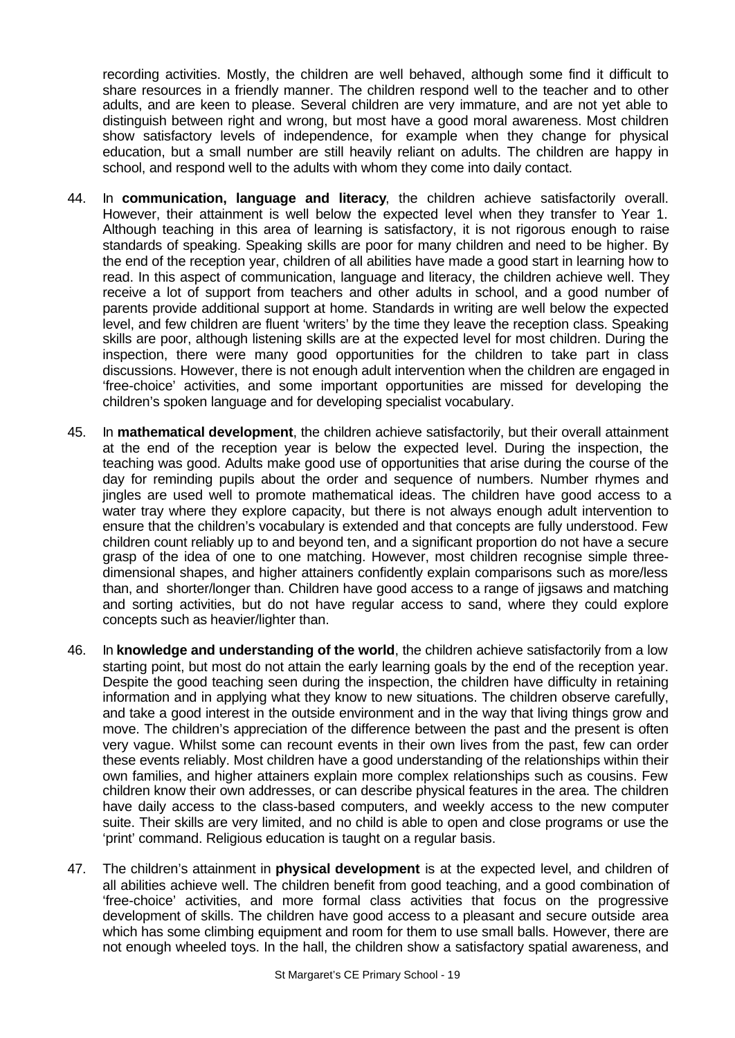recording activities. Mostly, the children are well behaved, although some find it difficult to share resources in a friendly manner. The children respond well to the teacher and to other adults, and are keen to please. Several children are very immature, and are not yet able to distinguish between right and wrong, but most have a good moral awareness. Most children show satisfactory levels of independence, for example when they change for physical education, but a small number are still heavily reliant on adults. The children are happy in school, and respond well to the adults with whom they come into daily contact.

- 44. In **communication, language and literacy**, the children achieve satisfactorily overall. However, their attainment is well below the expected level when they transfer to Year 1. Although teaching in this area of learning is satisfactory, it is not rigorous enough to raise standards of speaking. Speaking skills are poor for many children and need to be higher. By the end of the reception year, children of all abilities have made a good start in learning how to read. In this aspect of communication, language and literacy, the children achieve well. They receive a lot of support from teachers and other adults in school, and a good number of parents provide additional support at home. Standards in writing are well below the expected level, and few children are fluent 'writers' by the time they leave the reception class. Speaking skills are poor, although listening skills are at the expected level for most children. During the inspection, there were many good opportunities for the children to take part in class discussions. However, there is not enough adult intervention when the children are engaged in 'free-choice' activities, and some important opportunities are missed for developing the children's spoken language and for developing specialist vocabulary.
- 45. In **mathematical development**, the children achieve satisfactorily, but their overall attainment at the end of the reception year is below the expected level. During the inspection, the teaching was good. Adults make good use of opportunities that arise during the course of the day for reminding pupils about the order and sequence of numbers. Number rhymes and jingles are used well to promote mathematical ideas. The children have good access to a water tray where they explore capacity, but there is not always enough adult intervention to ensure that the children's vocabulary is extended and that concepts are fully understood. Few children count reliably up to and beyond ten, and a significant proportion do not have a secure grasp of the idea of one to one matching. However, most children recognise simple threedimensional shapes, and higher attainers confidently explain comparisons such as more/less than, and shorter/longer than. Children have good access to a range of jigsaws and matching and sorting activities, but do not have regular access to sand, where they could explore concepts such as heavier/lighter than.
- 46. In **knowledge and understanding of the world**, the children achieve satisfactorily from a low starting point, but most do not attain the early learning goals by the end of the reception year. Despite the good teaching seen during the inspection, the children have difficulty in retaining information and in applying what they know to new situations. The children observe carefully, and take a good interest in the outside environment and in the way that living things grow and move. The children's appreciation of the difference between the past and the present is often very vague. Whilst some can recount events in their own lives from the past, few can order these events reliably. Most children have a good understanding of the relationships within their own families, and higher attainers explain more complex relationships such as cousins. Few children know their own addresses, or can describe physical features in the area. The children have daily access to the class-based computers, and weekly access to the new computer suite. Their skills are very limited, and no child is able to open and close programs or use the 'print' command. Religious education is taught on a regular basis.
- 47. The children's attainment in **physical development** is at the expected level, and children of all abilities achieve well. The children benefit from good teaching, and a good combination of 'free-choice' activities, and more formal class activities that focus on the progressive development of skills. The children have good access to a pleasant and secure outside area which has some climbing equipment and room for them to use small balls. However, there are not enough wheeled toys. In the hall, the children show a satisfactory spatial awareness, and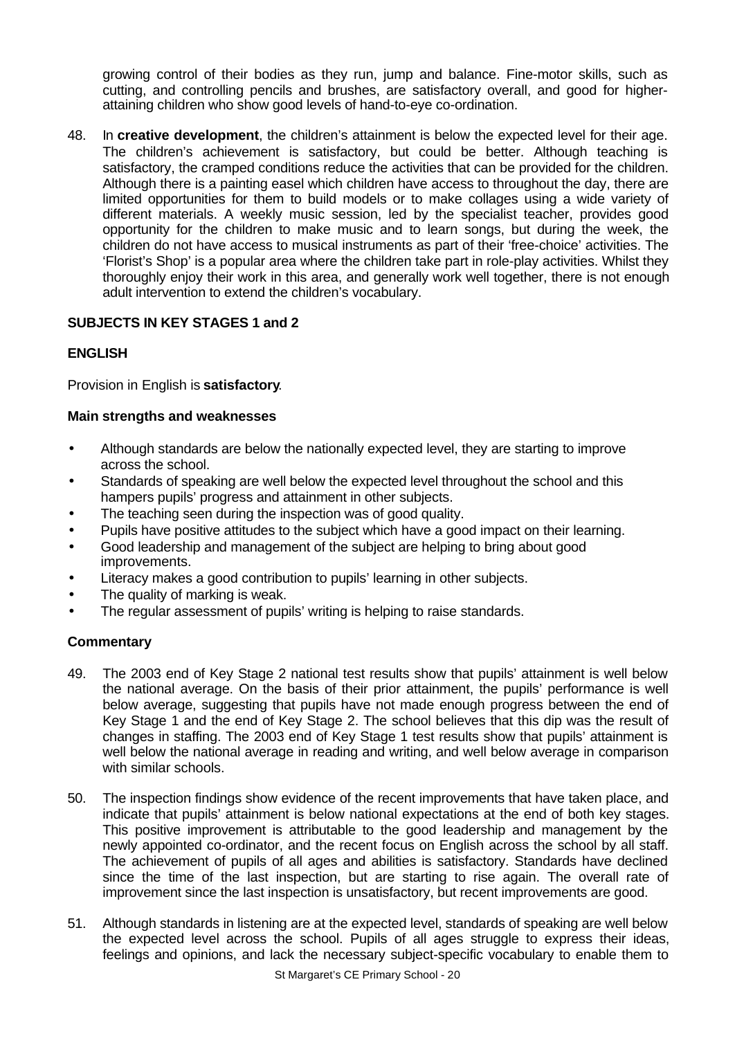growing control of their bodies as they run, jump and balance. Fine-motor skills, such as cutting, and controlling pencils and brushes, are satisfactory overall, and good for higherattaining children who show good levels of hand-to-eye co-ordination.

48. In **creative development**, the children's attainment is below the expected level for their age. The children's achievement is satisfactory, but could be better. Although teaching is satisfactory, the cramped conditions reduce the activities that can be provided for the children. Although there is a painting easel which children have access to throughout the day, there are limited opportunities for them to build models or to make collages using a wide variety of different materials. A weekly music session, led by the specialist teacher, provides good opportunity for the children to make music and to learn songs, but during the week, the children do not have access to musical instruments as part of their 'free-choice' activities. The 'Florist's Shop' is a popular area where the children take part in role-play activities. Whilst they thoroughly enjoy their work in this area, and generally work well together, there is not enough adult intervention to extend the children's vocabulary.

# **SUBJECTS IN KEY STAGES 1 and 2**

# **ENGLISH**

Provision in English is **satisfactory**.

# **Main strengths and weaknesses**

- Although standards are below the nationally expected level, they are starting to improve across the school.
- Standards of speaking are well below the expected level throughout the school and this hampers pupils' progress and attainment in other subjects.
- The teaching seen during the inspection was of good quality.
- Pupils have positive attitudes to the subject which have a good impact on their learning.
- Good leadership and management of the subject are helping to bring about good improvements.
- Literacy makes a good contribution to pupils' learning in other subjects.
- The quality of marking is weak.
- The regular assessment of pupils' writing is helping to raise standards.

- 49. The 2003 end of Key Stage 2 national test results show that pupils' attainment is well below the national average. On the basis of their prior attainment, the pupils' performance is well below average, suggesting that pupils have not made enough progress between the end of Key Stage 1 and the end of Key Stage 2. The school believes that this dip was the result of changes in staffing. The 2003 end of Key Stage 1 test results show that pupils' attainment is well below the national average in reading and writing, and well below average in comparison with similar schools.
- 50. The inspection findings show evidence of the recent improvements that have taken place, and indicate that pupils' attainment is below national expectations at the end of both key stages. This positive improvement is attributable to the good leadership and management by the newly appointed co-ordinator, and the recent focus on English across the school by all staff. The achievement of pupils of all ages and abilities is satisfactory. Standards have declined since the time of the last inspection, but are starting to rise again. The overall rate of improvement since the last inspection is unsatisfactory, but recent improvements are good.
- 51. Although standards in listening are at the expected level, standards of speaking are well below the expected level across the school. Pupils of all ages struggle to express their ideas, feelings and opinions, and lack the necessary subject-specific vocabulary to enable them to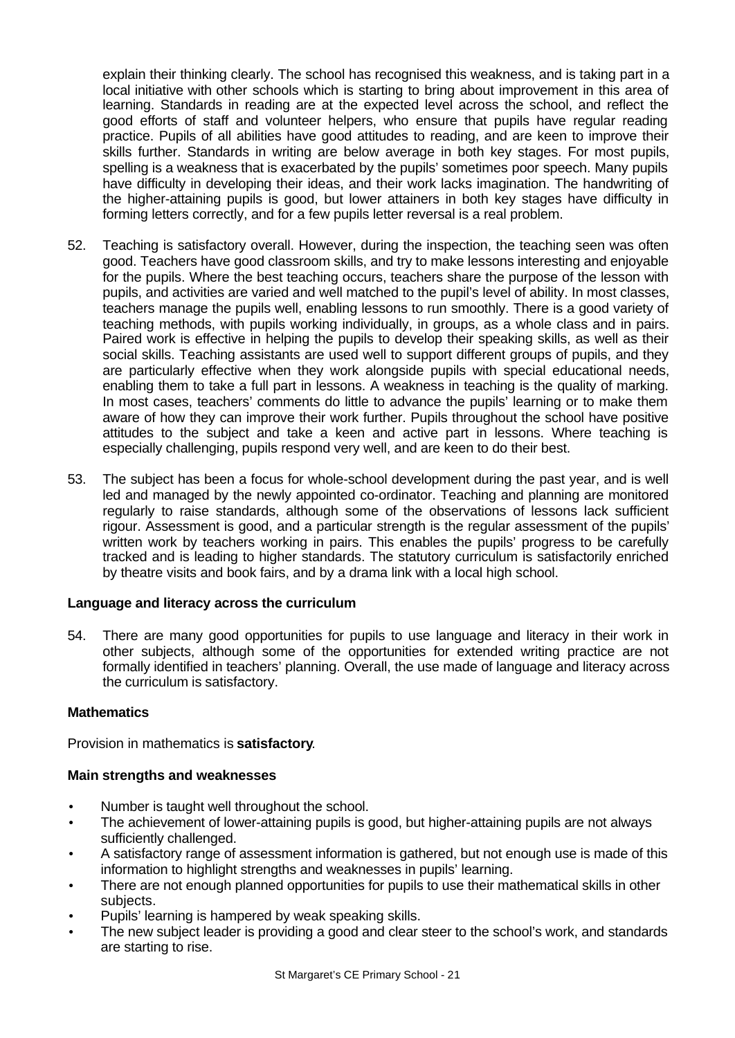explain their thinking clearly. The school has recognised this weakness, and is taking part in a local initiative with other schools which is starting to bring about improvement in this area of learning. Standards in reading are at the expected level across the school, and reflect the good efforts of staff and volunteer helpers, who ensure that pupils have regular reading practice. Pupils of all abilities have good attitudes to reading, and are keen to improve their skills further. Standards in writing are below average in both key stages. For most pupils, spelling is a weakness that is exacerbated by the pupils' sometimes poor speech. Many pupils have difficulty in developing their ideas, and their work lacks imagination. The handwriting of the higher-attaining pupils is good, but lower attainers in both key stages have difficulty in forming letters correctly, and for a few pupils letter reversal is a real problem.

- 52. Teaching is satisfactory overall. However, during the inspection, the teaching seen was often good. Teachers have good classroom skills, and try to make lessons interesting and enjoyable for the pupils. Where the best teaching occurs, teachers share the purpose of the lesson with pupils, and activities are varied and well matched to the pupil's level of ability. In most classes, teachers manage the pupils well, enabling lessons to run smoothly. There is a good variety of teaching methods, with pupils working individually, in groups, as a whole class and in pairs. Paired work is effective in helping the pupils to develop their speaking skills, as well as their social skills. Teaching assistants are used well to support different groups of pupils, and they are particularly effective when they work alongside pupils with special educational needs, enabling them to take a full part in lessons. A weakness in teaching is the quality of marking. In most cases, teachers' comments do little to advance the pupils' learning or to make them aware of how they can improve their work further. Pupils throughout the school have positive attitudes to the subject and take a keen and active part in lessons. Where teaching is especially challenging, pupils respond very well, and are keen to do their best.
- 53. The subject has been a focus for whole-school development during the past year, and is well led and managed by the newly appointed co-ordinator. Teaching and planning are monitored regularly to raise standards, although some of the observations of lessons lack sufficient rigour. Assessment is good, and a particular strength is the regular assessment of the pupils' written work by teachers working in pairs. This enables the pupils' progress to be carefully tracked and is leading to higher standards. The statutory curriculum is satisfactorily enriched by theatre visits and book fairs, and by a drama link with a local high school.

# **Language and literacy across the curriculum**

54. There are many good opportunities for pupils to use language and literacy in their work in other subjects, although some of the opportunities for extended writing practice are not formally identified in teachers' planning. Overall, the use made of language and literacy across the curriculum is satisfactory.

# **Mathematics**

Provision in mathematics is **satisfactory**.

# **Main strengths and weaknesses**

- Number is taught well throughout the school.
- The achievement of lower-attaining pupils is good, but higher-attaining pupils are not always sufficiently challenged.
- A satisfactory range of assessment information is gathered, but not enough use is made of this information to highlight strengths and weaknesses in pupils' learning.
- There are not enough planned opportunities for pupils to use their mathematical skills in other subjects.
- Pupils' learning is hampered by weak speaking skills.
- The new subject leader is providing a good and clear steer to the school's work, and standards are starting to rise.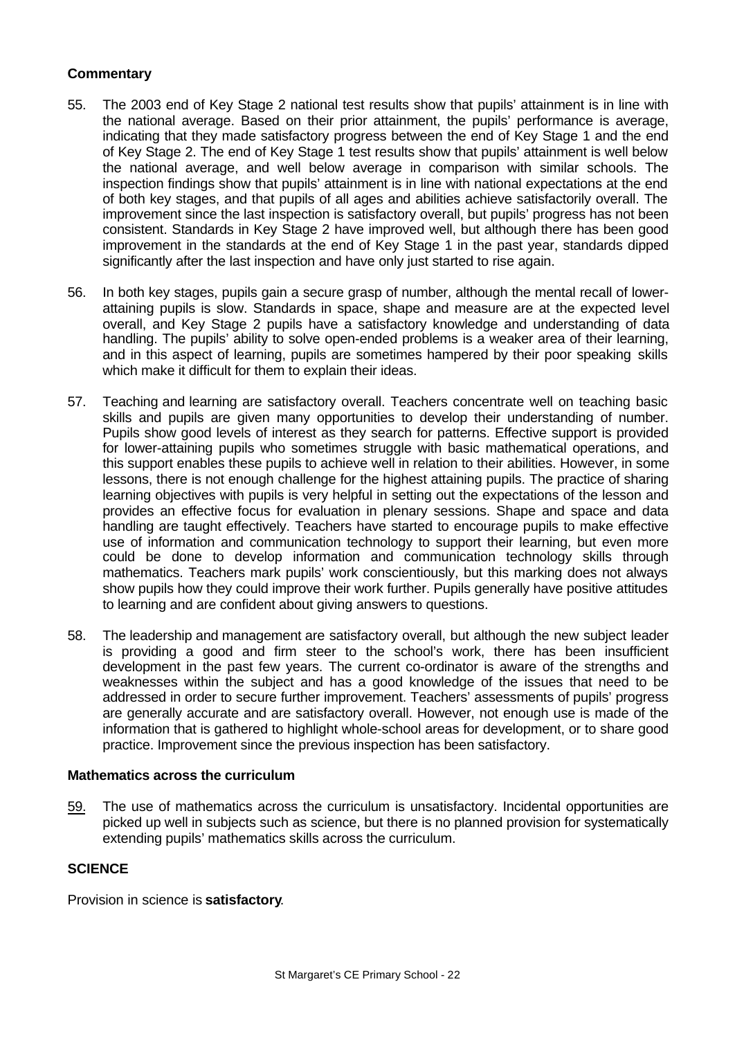# **Commentary**

- 55. The 2003 end of Key Stage 2 national test results show that pupils' attainment is in line with the national average. Based on their prior attainment, the pupils' performance is average, indicating that they made satisfactory progress between the end of Key Stage 1 and the end of Key Stage 2. The end of Key Stage 1 test results show that pupils' attainment is well below the national average, and well below average in comparison with similar schools. The inspection findings show that pupils' attainment is in line with national expectations at the end of both key stages, and that pupils of all ages and abilities achieve satisfactorily overall. The improvement since the last inspection is satisfactory overall, but pupils' progress has not been consistent. Standards in Key Stage 2 have improved well, but although there has been good improvement in the standards at the end of Key Stage 1 in the past year, standards dipped significantly after the last inspection and have only just started to rise again.
- 56. In both key stages, pupils gain a secure grasp of number, although the mental recall of lowerattaining pupils is slow. Standards in space, shape and measure are at the expected level overall, and Key Stage 2 pupils have a satisfactory knowledge and understanding of data handling. The pupils' ability to solve open-ended problems is a weaker area of their learning, and in this aspect of learning, pupils are sometimes hampered by their poor speaking skills which make it difficult for them to explain their ideas.
- 57. Teaching and learning are satisfactory overall. Teachers concentrate well on teaching basic skills and pupils are given many opportunities to develop their understanding of number. Pupils show good levels of interest as they search for patterns. Effective support is provided for lower-attaining pupils who sometimes struggle with basic mathematical operations, and this support enables these pupils to achieve well in relation to their abilities. However, in some lessons, there is not enough challenge for the highest attaining pupils. The practice of sharing learning objectives with pupils is very helpful in setting out the expectations of the lesson and provides an effective focus for evaluation in plenary sessions. Shape and space and data handling are taught effectively. Teachers have started to encourage pupils to make effective use of information and communication technology to support their learning, but even more could be done to develop information and communication technology skills through mathematics. Teachers mark pupils' work conscientiously, but this marking does not always show pupils how they could improve their work further. Pupils generally have positive attitudes to learning and are confident about giving answers to questions.
- 58. The leadership and management are satisfactory overall, but although the new subject leader is providing a good and firm steer to the school's work, there has been insufficient development in the past few years. The current co-ordinator is aware of the strengths and weaknesses within the subject and has a good knowledge of the issues that need to be addressed in order to secure further improvement. Teachers' assessments of pupils' progress are generally accurate and are satisfactory overall. However, not enough use is made of the information that is gathered to highlight whole-school areas for development, or to share good practice. Improvement since the previous inspection has been satisfactory.

#### **Mathematics across the curriculum**

59. The use of mathematics across the curriculum is unsatisfactory. Incidental opportunities are picked up well in subjects such as science, but there is no planned provision for systematically extending pupils' mathematics skills across the curriculum.

# **SCIENCE**

Provision in science is **satisfactory**.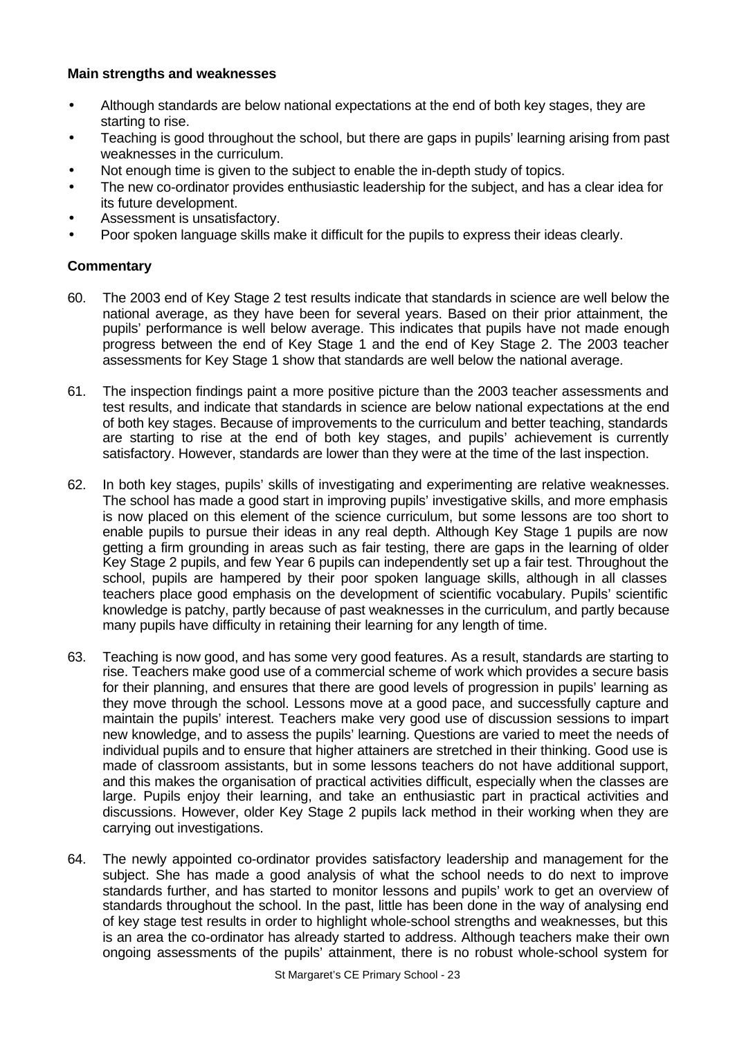### **Main strengths and weaknesses**

- Although standards are below national expectations at the end of both key stages, they are starting to rise.
- Teaching is good throughout the school, but there are gaps in pupils' learning arising from past weaknesses in the curriculum.
- Not enough time is given to the subject to enable the in-depth study of topics.
- The new co-ordinator provides enthusiastic leadership for the subject, and has a clear idea for its future development.
- Assessment is unsatisfactory.
- Poor spoken language skills make it difficult for the pupils to express their ideas clearly.

- 60. The 2003 end of Key Stage 2 test results indicate that standards in science are well below the national average, as they have been for several years. Based on their prior attainment, the pupils' performance is well below average. This indicates that pupils have not made enough progress between the end of Key Stage 1 and the end of Key Stage 2. The 2003 teacher assessments for Key Stage 1 show that standards are well below the national average.
- 61. The inspection findings paint a more positive picture than the 2003 teacher assessments and test results, and indicate that standards in science are below national expectations at the end of both key stages. Because of improvements to the curriculum and better teaching, standards are starting to rise at the end of both key stages, and pupils' achievement is currently satisfactory. However, standards are lower than they were at the time of the last inspection.
- 62. In both key stages, pupils' skills of investigating and experimenting are relative weaknesses. The school has made a good start in improving pupils' investigative skills, and more emphasis is now placed on this element of the science curriculum, but some lessons are too short to enable pupils to pursue their ideas in any real depth. Although Key Stage 1 pupils are now getting a firm grounding in areas such as fair testing, there are gaps in the learning of older Key Stage 2 pupils, and few Year 6 pupils can independently set up a fair test. Throughout the school, pupils are hampered by their poor spoken language skills, although in all classes teachers place good emphasis on the development of scientific vocabulary. Pupils' scientific knowledge is patchy, partly because of past weaknesses in the curriculum, and partly because many pupils have difficulty in retaining their learning for any length of time.
- 63. Teaching is now good, and has some very good features. As a result, standards are starting to rise. Teachers make good use of a commercial scheme of work which provides a secure basis for their planning, and ensures that there are good levels of progression in pupils' learning as they move through the school. Lessons move at a good pace, and successfully capture and maintain the pupils' interest. Teachers make very good use of discussion sessions to impart new knowledge, and to assess the pupils' learning. Questions are varied to meet the needs of individual pupils and to ensure that higher attainers are stretched in their thinking. Good use is made of classroom assistants, but in some lessons teachers do not have additional support, and this makes the organisation of practical activities difficult, especially when the classes are large. Pupils enjoy their learning, and take an enthusiastic part in practical activities and discussions. However, older Key Stage 2 pupils lack method in their working when they are carrying out investigations.
- 64. The newly appointed co-ordinator provides satisfactory leadership and management for the subject. She has made a good analysis of what the school needs to do next to improve standards further, and has started to monitor lessons and pupils' work to get an overview of standards throughout the school. In the past, little has been done in the way of analysing end of key stage test results in order to highlight whole-school strengths and weaknesses, but this is an area the co-ordinator has already started to address. Although teachers make their own ongoing assessments of the pupils' attainment, there is no robust whole-school system for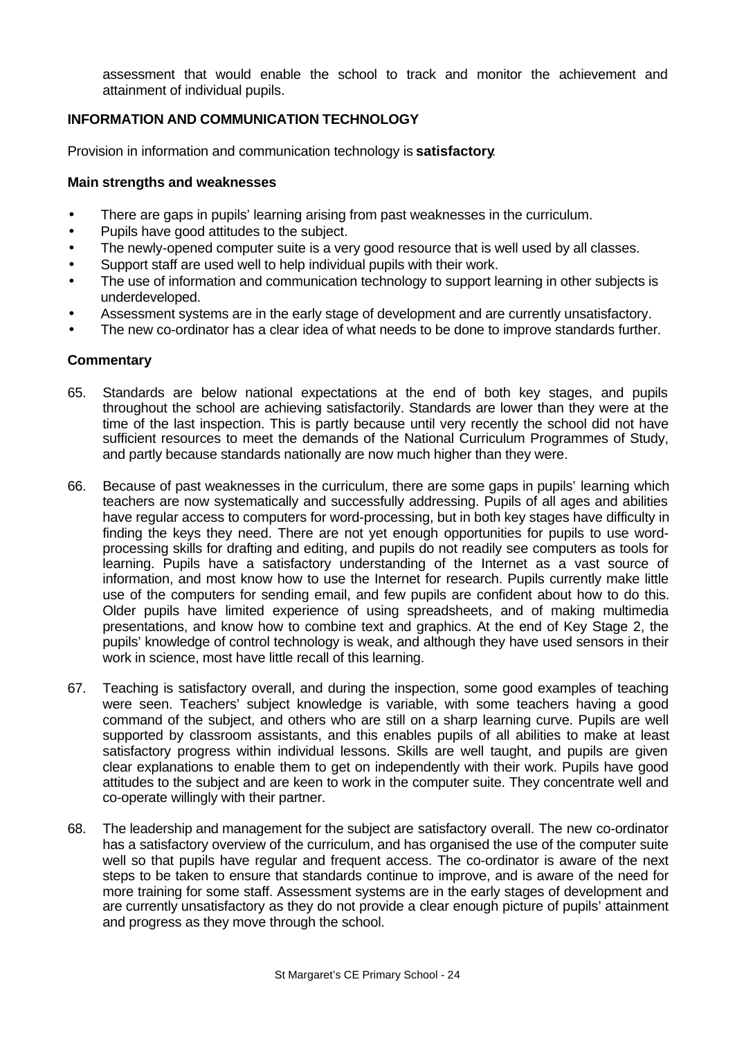assessment that would enable the school to track and monitor the achievement and attainment of individual pupils.

# **INFORMATION AND COMMUNICATION TECHNOLOGY**

Provision in information and communication technology is **satisfactory**.

#### **Main strengths and weaknesses**

- There are gaps in pupils' learning arising from past weaknesses in the curriculum.
- Pupils have good attitudes to the subject.
- The newly-opened computer suite is a very good resource that is well used by all classes.
- Support staff are used well to help individual pupils with their work.
- The use of information and communication technology to support learning in other subjects is underdeveloped.
- Assessment systems are in the early stage of development and are currently unsatisfactory.
- The new co-ordinator has a clear idea of what needs to be done to improve standards further.

- 65. Standards are below national expectations at the end of both key stages, and pupils throughout the school are achieving satisfactorily. Standards are lower than they were at the time of the last inspection. This is partly because until very recently the school did not have sufficient resources to meet the demands of the National Curriculum Programmes of Study, and partly because standards nationally are now much higher than they were.
- 66. Because of past weaknesses in the curriculum, there are some gaps in pupils' learning which teachers are now systematically and successfully addressing. Pupils of all ages and abilities have regular access to computers for word-processing, but in both key stages have difficulty in finding the keys they need. There are not yet enough opportunities for pupils to use wordprocessing skills for drafting and editing, and pupils do not readily see computers as tools for learning. Pupils have a satisfactory understanding of the Internet as a vast source of information, and most know how to use the Internet for research. Pupils currently make little use of the computers for sending email, and few pupils are confident about how to do this. Older pupils have limited experience of using spreadsheets, and of making multimedia presentations, and know how to combine text and graphics. At the end of Key Stage 2, the pupils' knowledge of control technology is weak, and although they have used sensors in their work in science, most have little recall of this learning.
- 67. Teaching is satisfactory overall, and during the inspection, some good examples of teaching were seen. Teachers' subject knowledge is variable, with some teachers having a good command of the subject, and others who are still on a sharp learning curve. Pupils are well supported by classroom assistants, and this enables pupils of all abilities to make at least satisfactory progress within individual lessons. Skills are well taught, and pupils are given clear explanations to enable them to get on independently with their work. Pupils have good attitudes to the subject and are keen to work in the computer suite. They concentrate well and co-operate willingly with their partner.
- 68. The leadership and management for the subject are satisfactory overall. The new co-ordinator has a satisfactory overview of the curriculum, and has organised the use of the computer suite well so that pupils have regular and frequent access. The co-ordinator is aware of the next steps to be taken to ensure that standards continue to improve, and is aware of the need for more training for some staff. Assessment systems are in the early stages of development and are currently unsatisfactory as they do not provide a clear enough picture of pupils' attainment and progress as they move through the school.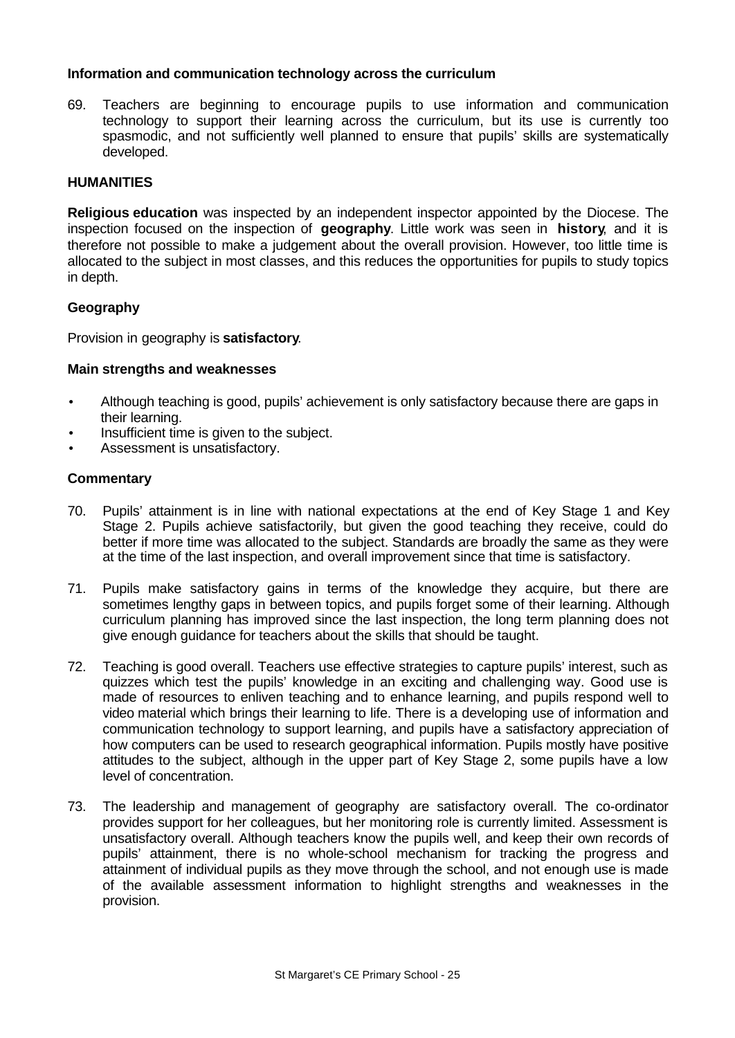### **Information and communication technology across the curriculum**

69. Teachers are beginning to encourage pupils to use information and communication technology to support their learning across the curriculum, but its use is currently too spasmodic, and not sufficiently well planned to ensure that pupils' skills are systematically developed.

### **HUMANITIES**

**Religious education** was inspected by an independent inspector appointed by the Diocese. The inspection focused on the inspection of **geography**. Little work was seen in **history**, and it is therefore not possible to make a judgement about the overall provision. However, too little time is allocated to the subject in most classes, and this reduces the opportunities for pupils to study topics in depth.

#### **Geography**

Provision in geography is **satisfactory**.

#### **Main strengths and weaknesses**

- Although teaching is good, pupils' achievement is only satisfactory because there are gaps in their learning.
- Insufficient time is given to the subject.
- Assessment is unsatisfactory.

- 70. Pupils' attainment is in line with national expectations at the end of Key Stage 1 and Key Stage 2. Pupils achieve satisfactorily, but given the good teaching they receive, could do better if more time was allocated to the subject. Standards are broadly the same as they were at the time of the last inspection, and overall improvement since that time is satisfactory.
- 71. Pupils make satisfactory gains in terms of the knowledge they acquire, but there are sometimes lengthy gaps in between topics, and pupils forget some of their learning. Although curriculum planning has improved since the last inspection, the long term planning does not give enough guidance for teachers about the skills that should be taught.
- 72. Teaching is good overall. Teachers use effective strategies to capture pupils' interest, such as quizzes which test the pupils' knowledge in an exciting and challenging way. Good use is made of resources to enliven teaching and to enhance learning, and pupils respond well to video material which brings their learning to life. There is a developing use of information and communication technology to support learning, and pupils have a satisfactory appreciation of how computers can be used to research geographical information. Pupils mostly have positive attitudes to the subject, although in the upper part of Key Stage 2, some pupils have a low level of concentration.
- 73. The leadership and management of geography are satisfactory overall. The co-ordinator provides support for her colleagues, but her monitoring role is currently limited. Assessment is unsatisfactory overall. Although teachers know the pupils well, and keep their own records of pupils' attainment, there is no whole-school mechanism for tracking the progress and attainment of individual pupils as they move through the school, and not enough use is made of the available assessment information to highlight strengths and weaknesses in the provision.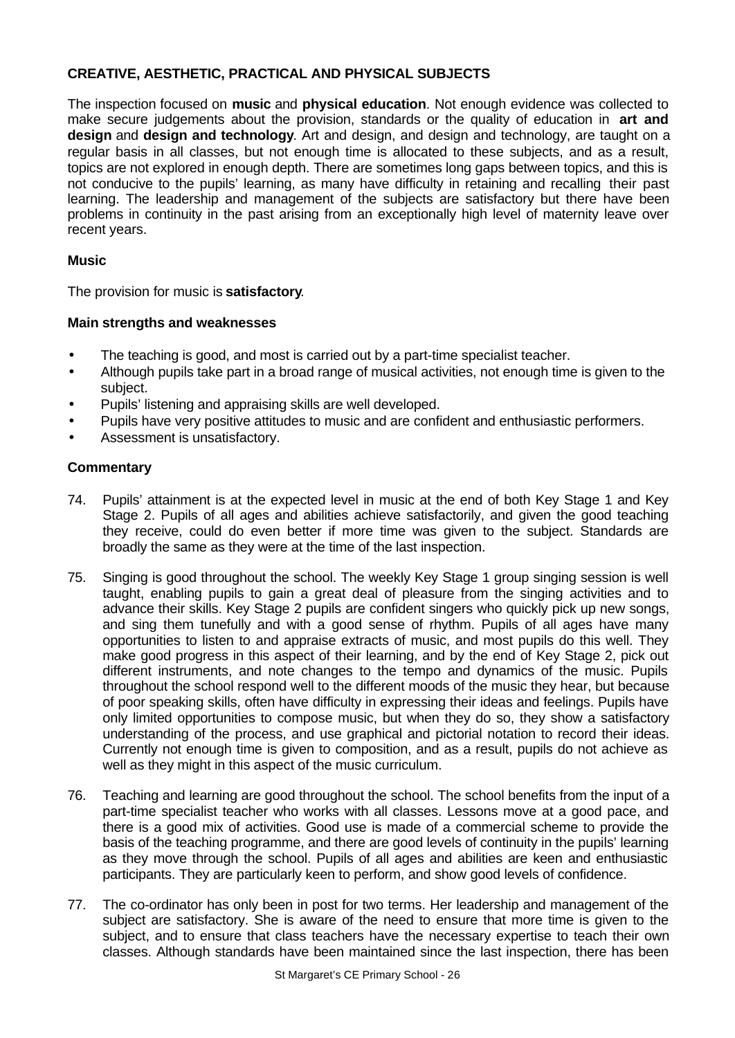# **CREATIVE, AESTHETIC, PRACTICAL AND PHYSICAL SUBJECTS**

The inspection focused on **music** and **physical education**. Not enough evidence was collected to make secure judgements about the provision, standards or the quality of education in **art and design** and **design and technology**. Art and design, and design and technology, are taught on a regular basis in all classes, but not enough time is allocated to these subjects, and as a result, topics are not explored in enough depth. There are sometimes long gaps between topics, and this is not conducive to the pupils' learning, as many have difficulty in retaining and recalling their past learning. The leadership and management of the subjects are satisfactory but there have been problems in continuity in the past arising from an exceptionally high level of maternity leave over recent years.

# **Music**

The provision for music is **satisfactory**.

# **Main strengths and weaknesses**

- The teaching is good, and most is carried out by a part-time specialist teacher.
- Although pupils take part in a broad range of musical activities, not enough time is given to the subject.
- Pupils' listening and appraising skills are well developed.
- Pupils have very positive attitudes to music and are confident and enthusiastic performers.
- Assessment is unsatisfactory.

- 74. Pupils' attainment is at the expected level in music at the end of both Key Stage 1 and Key Stage 2. Pupils of all ages and abilities achieve satisfactorily, and given the good teaching they receive, could do even better if more time was given to the subject. Standards are broadly the same as they were at the time of the last inspection.
- 75. Singing is good throughout the school. The weekly Key Stage 1 group singing session is well taught, enabling pupils to gain a great deal of pleasure from the singing activities and to advance their skills. Key Stage 2 pupils are confident singers who quickly pick up new songs, and sing them tunefully and with a good sense of rhythm. Pupils of all ages have many opportunities to listen to and appraise extracts of music, and most pupils do this well. They make good progress in this aspect of their learning, and by the end of Key Stage 2, pick out different instruments, and note changes to the tempo and dynamics of the music. Pupils throughout the school respond well to the different moods of the music they hear, but because of poor speaking skills, often have difficulty in expressing their ideas and feelings. Pupils have only limited opportunities to compose music, but when they do so, they show a satisfactory understanding of the process, and use graphical and pictorial notation to record their ideas. Currently not enough time is given to composition, and as a result, pupils do not achieve as well as they might in this aspect of the music curriculum.
- 76. Teaching and learning are good throughout the school. The school benefits from the input of a part-time specialist teacher who works with all classes. Lessons move at a good pace, and there is a good mix of activities. Good use is made of a commercial scheme to provide the basis of the teaching programme, and there are good levels of continuity in the pupils' learning as they move through the school. Pupils of all ages and abilities are keen and enthusiastic participants. They are particularly keen to perform, and show good levels of confidence.
- 77. The co-ordinator has only been in post for two terms. Her leadership and management of the subject are satisfactory. She is aware of the need to ensure that more time is given to the subject, and to ensure that class teachers have the necessary expertise to teach their own classes. Although standards have been maintained since the last inspection, there has been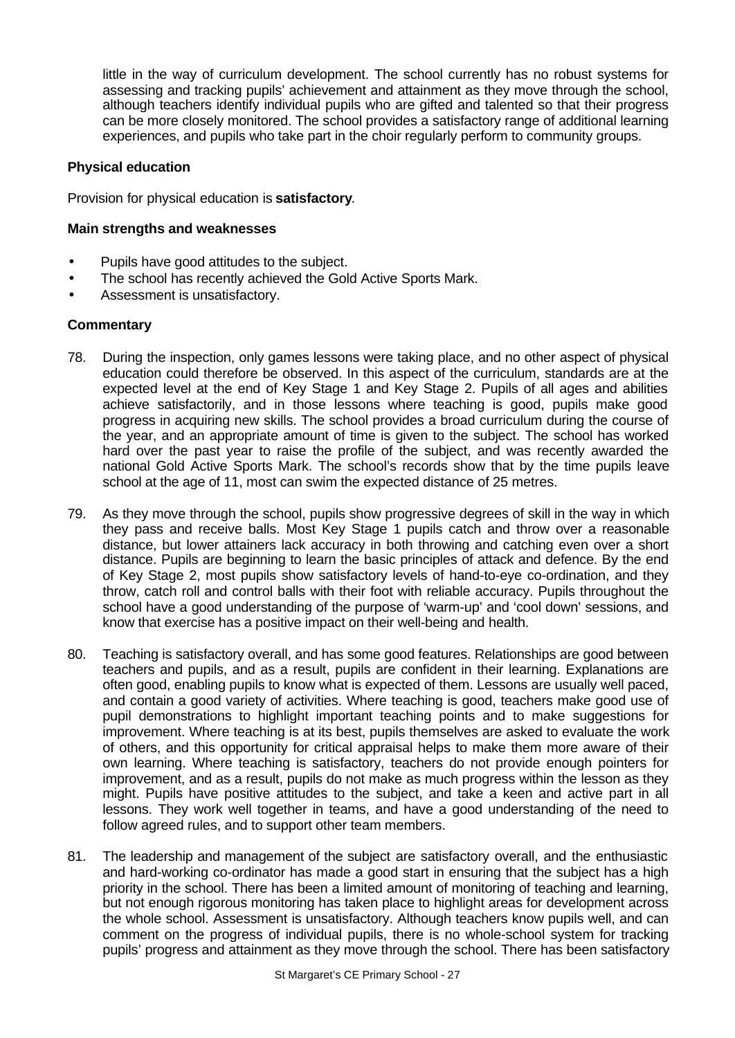little in the way of curriculum development. The school currently has no robust systems for assessing and tracking pupils' achievement and attainment as they move through the school, although teachers identify individual pupils who are gifted and talented so that their progress can be more closely monitored. The school provides a satisfactory range of additional learning experiences, and pupils who take part in the choir regularly perform to community groups.

#### **Physical education**

Provision for physical education is **satisfactory**.

#### **Main strengths and weaknesses**

- Pupils have good attitudes to the subject.
- The school has recently achieved the Gold Active Sports Mark.
- Assessment is unsatisfactory.

- 78. During the inspection, only games lessons were taking place, and no other aspect of physical education could therefore be observed. In this aspect of the curriculum, standards are at the expected level at the end of Key Stage 1 and Key Stage 2. Pupils of all ages and abilities achieve satisfactorily, and in those lessons where teaching is good, pupils make good progress in acquiring new skills. The school provides a broad curriculum during the course of the year, and an appropriate amount of time is given to the subject. The school has worked hard over the past year to raise the profile of the subject, and was recently awarded the national Gold Active Sports Mark. The school's records show that by the time pupils leave school at the age of 11, most can swim the expected distance of 25 metres.
- 79. As they move through the school, pupils show progressive degrees of skill in the way in which they pass and receive balls. Most Key Stage 1 pupils catch and throw over a reasonable distance, but lower attainers lack accuracy in both throwing and catching even over a short distance. Pupils are beginning to learn the basic principles of attack and defence. By the end of Key Stage 2, most pupils show satisfactory levels of hand-to-eye co-ordination, and they throw, catch roll and control balls with their foot with reliable accuracy. Pupils throughout the school have a good understanding of the purpose of 'warm-up' and 'cool down' sessions, and know that exercise has a positive impact on their well-being and health.
- 80. Teaching is satisfactory overall, and has some good features. Relationships are good between teachers and pupils, and as a result, pupils are confident in their learning. Explanations are often good, enabling pupils to know what is expected of them. Lessons are usually well paced, and contain a good variety of activities. Where teaching is good, teachers make good use of pupil demonstrations to highlight important teaching points and to make suggestions for improvement. Where teaching is at its best, pupils themselves are asked to evaluate the work of others, and this opportunity for critical appraisal helps to make them more aware of their own learning. Where teaching is satisfactory, teachers do not provide enough pointers for improvement, and as a result, pupils do not make as much progress within the lesson as they might. Pupils have positive attitudes to the subject, and take a keen and active part in all lessons. They work well together in teams, and have a good understanding of the need to follow agreed rules, and to support other team members.
- 81. The leadership and management of the subject are satisfactory overall, and the enthusiastic and hard-working co-ordinator has made a good start in ensuring that the subject has a high priority in the school. There has been a limited amount of monitoring of teaching and learning, but not enough rigorous monitoring has taken place to highlight areas for development across the whole school. Assessment is unsatisfactory. Although teachers know pupils well, and can comment on the progress of individual pupils, there is no whole-school system for tracking pupils' progress and attainment as they move through the school. There has been satisfactory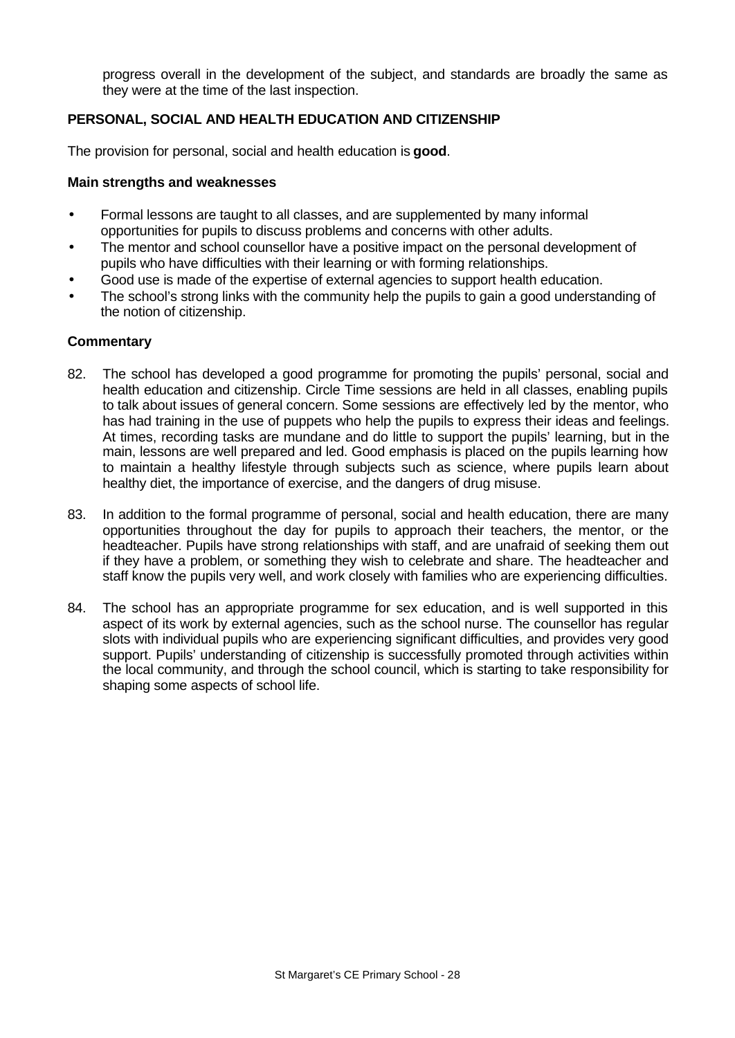progress overall in the development of the subject, and standards are broadly the same as they were at the time of the last inspection.

# **PERSONAL, SOCIAL AND HEALTH EDUCATION AND CITIZENSHIP**

The provision for personal, social and health education is **good**.

#### **Main strengths and weaknesses**

- Formal lessons are taught to all classes, and are supplemented by many informal opportunities for pupils to discuss problems and concerns with other adults.
- The mentor and school counsellor have a positive impact on the personal development of pupils who have difficulties with their learning or with forming relationships.
- Good use is made of the expertise of external agencies to support health education.
- The school's strong links with the community help the pupils to gain a good understanding of the notion of citizenship.

- 82. The school has developed a good programme for promoting the pupils' personal, social and health education and citizenship. Circle Time sessions are held in all classes, enabling pupils to talk about issues of general concern. Some sessions are effectively led by the mentor, who has had training in the use of puppets who help the pupils to express their ideas and feelings. At times, recording tasks are mundane and do little to support the pupils' learning, but in the main, lessons are well prepared and led. Good emphasis is placed on the pupils learning how to maintain a healthy lifestyle through subjects such as science, where pupils learn about healthy diet, the importance of exercise, and the dangers of drug misuse.
- 83. In addition to the formal programme of personal, social and health education, there are many opportunities throughout the day for pupils to approach their teachers, the mentor, or the headteacher. Pupils have strong relationships with staff, and are unafraid of seeking them out if they have a problem, or something they wish to celebrate and share. The headteacher and staff know the pupils very well, and work closely with families who are experiencing difficulties.
- 84. The school has an appropriate programme for sex education, and is well supported in this aspect of its work by external agencies, such as the school nurse. The counsellor has regular slots with individual pupils who are experiencing significant difficulties, and provides very good support. Pupils' understanding of citizenship is successfully promoted through activities within the local community, and through the school council, which is starting to take responsibility for shaping some aspects of school life.